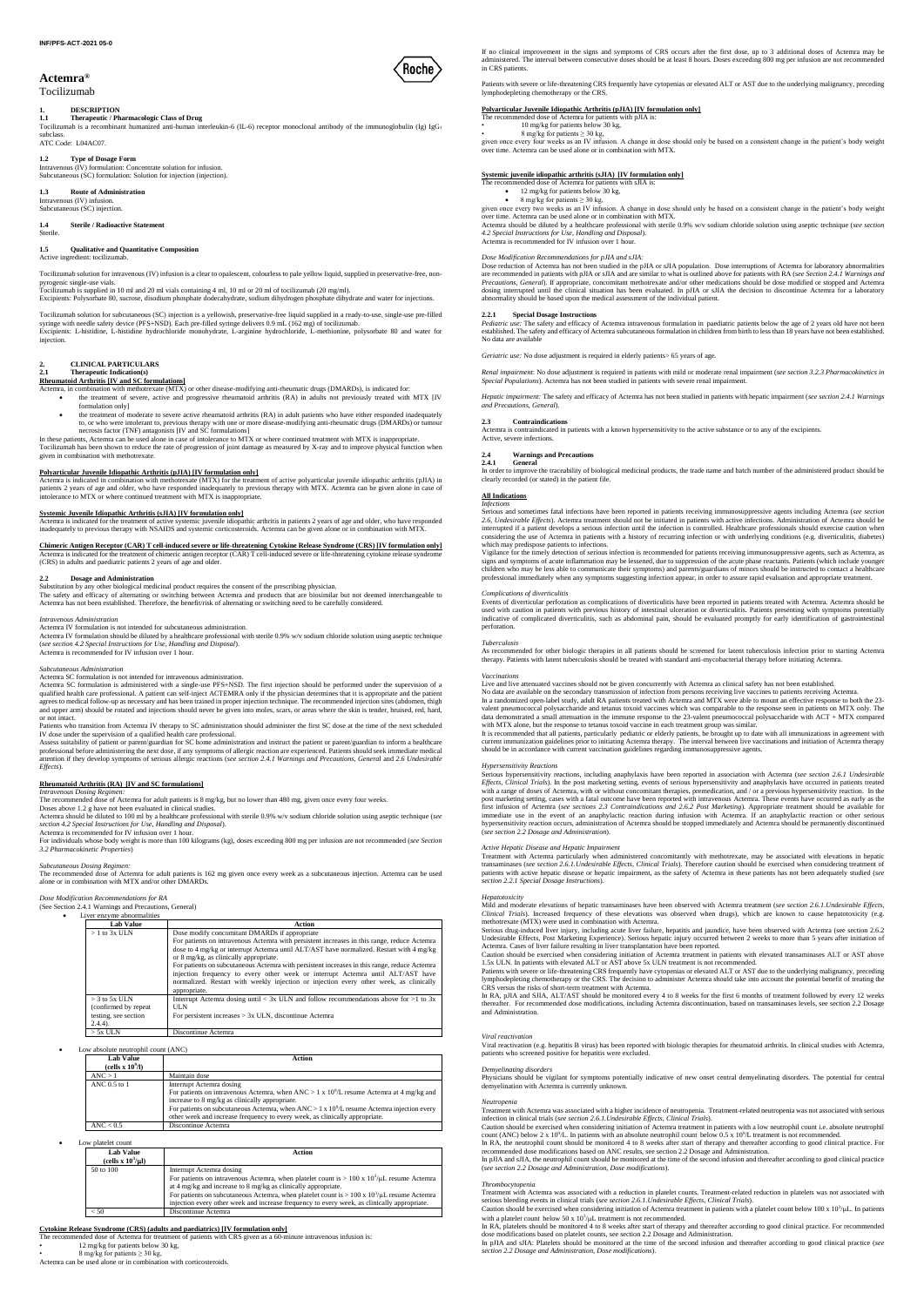## **Actemra®**

## Tocilizumab

# **1. DESCRIPTION**

**1.1 Therapeutic / Pharmacologic Class of Drug** Tocilizumab is a recombinant humanized anti-human interleukin-6 (IL-6) receptor monoclonal antibody of the immunoglobulin (Ig) IgG<sup>1</sup> subclass. ATC Code: L04AC07.

## **1.2 Type of Dosage Form**

Intravenous (IV) formulation: Concentrate solution for infusion. Subcutaneous (SC) formulation: Solution for injection (injection).

## **1.3 Route of Administration**

Intravenous (IV) infusion. Subcutaneous (SC) injection.

#### **1.4 Sterile / Radioactive Statement** Sterile.

## **1.5 Qualitative and Quantitative Composition**

Active ingredient: tocilizumab.

Tocilizumab solution for intravenous (IV) infusion is a clear to opalescent, colourless to pale yellow liquid, supplied in preservative-free, nonpyrogenic single-use vials.

Tocilizumab solution for subcutaneous (SC) injection is a yellowish, preservative-free liquid supplied in a ready-to-use, single-use pre-filled<br>syringe with needle safety device (PFS+NSD). Each pre-filled syringe delivers injection.

Tocilizumab is supplied in 10 ml and 20 ml vials containing 4 ml, 10 ml or 20 ml of tocilizumab (20 mg/ml). Excipients: Polysorbate 80, sucrose, disodium phosphate dodecahydrate, sodium dihydrogen phosphate dihydrate and water for injections.

**Polyarticular Juvenile Idiopathic Arthritis (pJIA) [IV formulation only]** Actemra is indicated in combination with methotrexate (MTX) for the treatment of active polyarticular juvenile idiopathic arthritis (pJIA) in patients 2 years of age and older, who have responded inadequately to previous therapy with MTX. Actemra can be given alone in case of intolerance to MTX or where continued treatment with MTX is inappropriate.

# **2. CLINICAL PARTICULARS**

## **2.1 Therapeutic Indication(s)**

## **Rheumatoid Arthritis [IV and SC formulations]**

- Actemra, in combination with methotrexate (MTX) or other disease-modifying anti-rheumatic drugs (DMARDs), is indicated for: the treatment of severe, active and progressive rheumatoid arthritis (RA) in adults not previously treated with MTX [IV formulation only]
	- the treatment of moderate to severe active rheumatoid arthritis (RA) in adult patients who have either responded inadequately to, or who were intolerant to, previous therapy with one or more disease-modifying anti-rheumatic drugs (DMARDs) or tumour necrosis factor (TNF) antagonists [IV and SC formulations]
- In these patients, Actemra can be used alone in case of intolerance to MTX or where continued treatment with MTX is inappropriate. Tocilizumab has been shown to reduce the rate of progression of joint damage as measured by X-ray and to improve physical function when given in combination with methotrexate.

## **Systemic Juvenile Idiopathic Arthritis (sJIA) [IV formulation only]**

Actemra is indicated for the treatment of active systemic juvenile idiopathic arthritis in patients 2 years of age and older, who have responded<br>inadequately to previous therapy with NSAIDS and systemic corticosteroids. Ac

# **Chimeric Antigen Receptor (CAR) T cell-induced severe or life-threatening Cytokine Release Syndrome (CRS) [IV formulation only]**

Actemra is indicated for the treatment of chimeric antigen receptor (CAR) T cell-induced severe or life-threatening cytokine release syndrome (CRS) in adults and paediatric patients 2 years of age and older.

## **2.2 Dosage and Administration**

Substitution by any other biological medicinal product requires the consent of the prescribing physician.<br>The safety and efficacy of alternating or switching between Actemra and products that are biosimilar but not deemed

#### *Intravenous Administration*

Actemra IV formulation is not intended for subcutaneous administration.

Actemra IV formulation should be diluted by a healthcare professional with sterile 0.9% w/v sodium chloride solution using aseptic technique (*see section 4.2 Special Instructions for Use, Handling and Disposal*). Actemra is recommended for IV infusion over 1 hour.

- 12 mg/kg for patients below 30 kg,
	- 8 mg/kg for patients  $\geq 30$  kg,

#### *Subcutaneous Administration*

Actemra SC formulation is not intended for intravenous administration.

Actemra SC formulation is administered with a single-use PFS+NSD. The first injection should be performed under the supervision of a qualified health care professional. A patient can self-inject ACTEMRA only if the physician determines that it is appropriate and the patient<br>agrees to medical follow-up as necessary and has been trained in proper injectio and upper arm) should be rotated and injections should never be given into moles, scars, or areas where the skin is tender, bruised, red, hard, or not intact.

over time. Actemra can be used alone or in combination with MTX. Actemra should be diluted by a healthcare professional with sterile 0.9% w/v sodium chloride solution using aseptic technique (*see section 4.2 Special Instructions for Use, Handling and Disposal*). Actemra is recommended for IV infusion over 1 hour.

Patients who transition from Actemra IV therapy to SC administration should administer the first SC dose at the time of the next scheduled IV dose under the supervision of a qualified health care professional.

Assess suitability of patient or parent/guardian for SC home administration and instruct the patient or parent/guardian to inform a healthcare professional before administering the next dose, if any symptoms of allergic reaction are experienced. Patients should seek immediate medical attention if they develop symptoms of serious allergic reactions (*see section 2.4.1 Warnings and Precautions, Genera*l and *2.6 Undesirable Effects*).

## **Rheumatoid Arthritis (RA) [IV and SC formulations]**

*Renal impairment*: No dose adjustment is required in patients with mild or moderate renal impairment (*see section 3.2.3 Pharmacokinetics in*  Special Populations). Actemra has not been studied in patients with severe renal impairment

*Intravenous Dosing Regimen:* The recommended dose of Actemra for adult patients is 8 mg/kg, but no lower than 480 mg, given once every four weeks.

Doses above 1.2 g have not been evaluated in clinical studies. Actemra should be diluted to 100 ml by a healthcare professional with sterile 0.9% w/v sodium chloride solution using aseptic technique (*see section 4.2 Special Instructions for Use, Handling and Disposal*).

Actemra is recommended for IV infusion over 1 hour.

For individuals whose body weight is more than 100 kilograms (kg), doses exceeding 800 mg per infusion are not recommended (*see Section 3.2 Pharmacokinetic Properties*)

### *Subcutaneous Dosing Regimen:*

The recommended dose of Actemra for adult patients is 162 mg given once every week as a subcutaneous injection. Actemra can be used alone or in combination with MTX and/or other DMARDs.

#### *Dose Modification Recommendations for RA* (See Section 2.4.1 Warnings and Precautions, General)

Liver enzyme abnormalities

| <b>Lab Value</b>                                                                | Action                                                                                                                                                                                                                                                                                                                                                                                                                                                                                                                                                                          |
|---------------------------------------------------------------------------------|---------------------------------------------------------------------------------------------------------------------------------------------------------------------------------------------------------------------------------------------------------------------------------------------------------------------------------------------------------------------------------------------------------------------------------------------------------------------------------------------------------------------------------------------------------------------------------|
| $>1$ to 3x ULN                                                                  | Dose modify concomitant DMARDs if appropriate<br>For patients on intravenous Actemra with persistent increases in this range, reduce Actemra<br>dose to 4 mg/kg or interrupt Actemra until ALT/AST have normalized. Restart with 4 mg/kg<br>or 8 mg/kg, as clinically appropriate.<br>For patients on subcutaneous Actemra with persistent increases in this range, reduce Actemra<br>injection frequency to every other week or interrupt Actemra until ALT/AST have<br>normalized. Restart with weekly injection or injection every other week, as clinically<br>appropriate. |
| $>$ 3 to 5x ULN<br>(confirmed by repeat)<br>testing, see section<br>$(2.4.4)$ . | Interrupt Actemra dosing until $\lt 3x$ ULN and follow recommendations above for $>1$ to 3x<br><b>ULN</b><br>For persistent increases $> 3x$ ULN, discontinue Actemra                                                                                                                                                                                                                                                                                                                                                                                                           |
| $> 5x$ ULN                                                                      | Discontinue Actemra                                                                                                                                                                                                                                                                                                                                                                                                                                                                                                                                                             |

No data are available on the secondary transmission of infection from persons receiving live vaccines to patients receiving Actemra.<br>In a randomized open-label study, adult RA patients treated with Actemra and MTX were abl valent pneumococcal polysaccharide and tetanus toxoid vaccines which was comparable to the response seen in patients on MTX only. The data demonstrated a small attenuation in the immune response to the 23-valent pneumococcal polysaccharide with ACT + MTX compared

with MTX alone, but the response to tetanus toxoid vaccine in each treatment group was similar.<br>It is recommended that all patients, particularly pediatric or elderly patients, be brought up to date with all immunizations current immunization guidelines prior to initiating Actemra therapy. The interval between live vaccinations and initiation of Actemra therapy<br>should be in accordance with current vaccination guidelines regarding immunosupp

Low absolute neutrophil count (ANC)

| <b>Lab Value</b><br>(cells $x 10^9$ /l) | Action                                                                                                                                                                                                                                                                                                                                                             |
|-----------------------------------------|--------------------------------------------------------------------------------------------------------------------------------------------------------------------------------------------------------------------------------------------------------------------------------------------------------------------------------------------------------------------|
| ANC > 1                                 | Maintain dose                                                                                                                                                                                                                                                                                                                                                      |
| ANC 0.5 to 1                            | Interrupt Actemra dosing<br>For patients on intravenous Actemra, when ANC > 1 x 10 <sup>9</sup> /L resume Actemra at 4 mg/kg and<br>increase to 8 mg/kg as clinically appropriate.<br>For patients on subcutaneous Actemra, when ANC > 1 x $10^9$ /L resume Actemra injection every<br>other week and increase frequency to every week, as clinically appropriate. |
| $\text{ANC} < 0.5$                      | Discontinue Actemra                                                                                                                                                                                                                                                                                                                                                |

#### Low platelet count

| <b>Lab Value</b><br>(cells $\mathbf{x}$ 10 <sup>3</sup> /µl) | Action                                                                                                                                                                                                                                                                                                                                                                                                    |
|--------------------------------------------------------------|-----------------------------------------------------------------------------------------------------------------------------------------------------------------------------------------------------------------------------------------------------------------------------------------------------------------------------------------------------------------------------------------------------------|
| 50 to 100                                                    | Interrupt Actemra dosing<br>For patients on intravenous Actemra, when platelet count is $> 100 \times 10^3/\mu$ L resume Actemra<br>at 4 mg/kg and increase to 8 mg/kg as clinically appropriate.<br>For patients on subcutaneous Actemra, when platelet count is $> 100 \times 10^3/\mu L$ resume Actemra<br>injection every other week and increase frequency to every week, as clinically appropriate. |
| < 50                                                         | Discontinue Actemra                                                                                                                                                                                                                                                                                                                                                                                       |

**Cytokine Release Syndrome (CRS) (adults and paediatrics) [IV formulation only]** The recommended dose of Actemra for treatment of patients with CRS given as a 60-minute intravenous infusion is:

Actemra can be used alone or in combination with corticosteroids.

If no clinical improvement in the signs and symptoms of CRS occurs after the first dose, up to 3 additional doses of Actemra may be administered. The interval between consecutive doses should be at least 8 hours. Doses exceeding 800 mg per infusion are not recommended in CRS patients.

Patients with severe or life-threatening CRS frequently have cytopenias or elevated ALT or AST due to the underlying malignancy, preceding lymphodepleting chemotherapy or the CRS.

## **Polyarticular Juvenile Idiopathic Arthritis (pJIA) [IV formulation only]**

- The recommended dose of Actemra for patients with pJIA is:<br>
10 mg/kg for patients below 30 kg,
	-

Physicians should be vigilant for symptoms potentially indicative of new onset central demyelinating disorders. The potential for central demyelination with Actemra is currently unknown.

• 8 mg/kg for patients ≥ 30 kg, given once every four weeks as an IV infusion. A change in dose should only be based on a consistent change in the patient's body weight over time. Actemra can be used alone or in combination with MTX.

Caution should be exercised when considering initiation of Actemra treatment in patients with a low neutrophil count i.e. absolute neutrophil count (ANC) below  $2 \times 10^9$ /L. In patients with an absolute neutrophil count below 0.5 x  $10^9$ /L treatment is not recommended.

In RA, the neutrophil count should be monitored 4 to 8 weeks after start of therapy and thereafter according to good clinical practice. For<br>recommended dose modifications based on ANC results, see section 2.2 Dosage and Ad

## **Systemic juvenile idiopathic arthritis (sJIA) [IV formulation only]**

- The recommended dose of Actemra for patients with sJIA is:
	- 12 mg/kg for patients below 30 kg,<br>8 mg/kg for patients  $>$  30 kg 8 mg/kg for patients ≥ 30 kg,
- given once every two weeks as an IV infusion. A change in dose should only be based on a consistent change in the patient's body weight

## *Dose Modification Recommendations for pJIA and sJIA:*

Dose reduction of Actemra has not been studied in the pJIA or sJIA population. Dose interruptions of Actemra for laboratory abnormalities are recommended in patients with pJIA or sJIA and are similar to what is outlined above for patients with RA (s*ee Section 2.4.1 Warnings and*  Precautions, General). If appropriate, concomitant methotrexate and/or other medications should be dose modified or stopped and Actemra<br>dosing interrupted until the clinical situation has been evaluated. In pJIA or sJIA th abnormality should be based upon the medical assessment of the individual patient.

## **2.2.1 Special Dosage Instructions**

*Pediatric use:* The safety and efficacy of Actemra intravenous formulation in paediatric patients below the age of 2 years old have not been established. The safety and efficacy of Actemra subcutaneous formulation in children from birth to less than 18 years have not been established. No data are available

*Geriatric use:* No dose adjustment is required in elderly patients > 65 years of age.

*Hepatic impairment:* The safety and efficacy of Actemra has not been studied in patients with hepatic impairment (*see section 2.4.1 Warnings and Precautions, General*).

#### **2.3 Contraindications**

Actemra is contraindicated in patients with a known hypersensitivity to the active substance or to any of the excipients. Active, severe infections.

## **2.4 Warnings and Precautions**

#### **2.4.1 General**

In order to improve the traceability of biological medicinal products, the trade name and batch number of the administered product should be clearly recorded (or stated) in the patient file.

#### **All Indications** *Infections*

Serious and sometimes fatal infections have been reported in patients receiving immunosuppressive agents including Actemra (see section<br>2.6, Undesirable Effects). Actemra treatment should not be initiated in patients with interrupted if a patient develops a serious infection until the infection is controlled. Healthcare professionals should exercise caution when considering the use of Actemra in patients with a history of recurring infection or with underlying conditions (e.g. diverticulitis, diabetes) which may predispose patients to infections.

Vigilance for the timely detection of serious infection is recommended for patients receiving immunosuppressive agents, such as Actemra, as signs and symptoms of acute inflammation may be lessened, due to suppression of the acute phase reactants. Patients (which include younger<br>children who may be less able to communicate their symptoms) and parents/guardians professional immediately when any symptoms suggesting infection appear, in order to assure rapid evaluation and appropriate treatment.

### *Complications of diverticulitis*

Events of diverticular perforation as complications of diverticulitis have been reported in patients treated with Actemra. Actemra should be used with caution in patients with previous history of intestinal ulceration or diverticulitis. Patients presenting with symptoms potentially<br>indicative of complicated diverticulitis, such as abdominal pain, should be eval perforation.

#### *Tuberculosis*

As recommended for other biologic therapies in all patients should be screened for latent tuberculosis infection prior to starting Actemra therapy. Patients with latent tuberculosis should be treated with standard anti-mycobacterial therapy before initiating Actemra.

### *Vaccinations*

Live and live attenuated vaccines should not be given concurrently with Actemra as clinical safety has not been established.

## *Hypersensitivity Reactions*

Serious hypersensitivity reactions, including anaphylaxis have been reported in association with Actemra (*see section 2.6.1 Undesirable Effects, Clinical Trials*). In the post marketing setting, events of serious hypersensitivity and anaphylaxis have occurred in patients treated with a range of doses of Actemra, with or without concomitant therapies, premedication, and / or a previous hypersensitivity reaction. In the post marketing setting, cases with a fatal outcome have been reported with intravenous Actemra. These events have occurred as early as the<br>first infusion of Actemra (see sections 2.3 Contraindications and 2.6.2 Post Market immediate use in the event of an anaphylactic reaction during infusion with Actemra. If an anaphylactic reaction or other serious<br>hypersensitivity reaction occurs, administration of Actemra should be stopped immediately an (*see section 2.2 Dosage and Administration*).

## *Active Hepatic Disease and Hepatic Impairment*

Treatment with Actemra particularly when administered concomitantly with methotrexate, may be associated with elevations in hepatic transaminases (*see section 2.6.1.Undesirable Effects, Clinical Trials*). Therefore caution should be exercised when considering treatment of patients with active hepatic disease or hepatic impairment, as the safety of Actemra in these patients has not been adequately studied (*see section 2.2.1 Special Dosage Instructions*).

#### *Hepatotoxicity*

Mild and moderate elevations of hepatic transaminases have been observed with Actemra treatment (*see section 2.6.1.Undesirable Effects, Clinical Trials*). Increased frequency of these elevations was observed when drugs), which are known to cause hepatotoxicity (e.g. methotrexate (MTX) were used in combination with Actemra.

Serious drug-induced liver injury, including acute liver failure, hepatitis and jaundice, have been observed with Actemra (see section 2.6.2 Undesirable Effects, Post Marketing Experience). Serious hepatic injury occurred between 2 weeks to more than 5 years after initiation of Actemra. Cases of liver failure resulting in liver transplantation have been reported.

Caution should be exercised when considering initiation of Actemra treatment in patients with elevated transaminases ALT or AST above 1.5x ULN. In patients with elevated ALT or AST above 5x ULN treatment is not recommended.

Patients with severe or life-threatening CRS frequently have cytopenias or elevated ALT or AST due to the underlying malignancy, preceding lymphodepleting chemotherapy or the CRS. The decision to administer Actemra should take into account the potential benefit of treating the



#### CRS versus the risks of short-term treatment with Actemra.

In RA, pJIA and SJIA, ALT/AST should be monitored every 4 to 8 weeks for the first 6 months of treatment followed by every 12 weeks thereafter. For recommended dose modifications, including Actemra discontinuation, based on transaminases levels, see section 2.2 Dosage and Administration.

#### *Viral reactivation*

Viral reactivation (e.g. hepatitis B virus) has been reported with biologic therapies for rheumatoid arthritis. In clinical studies with Actemra, patients who screened positive for hepatitis were excluded.

#### *Demyelinating disorders*

## *Neutropenia*

Treatment with Actemra was associated with a higher incidence of neutropenia. Treatment-related neutropenia was not associated with serious infection in clinical trials (*see section 2.6.1.Undesirable Effects, Clinical Trials*).

In pJIA and sJIA, the neutrophil count should be monitored at the time of the second infusion and thereafter according to good clinical practice (*see section 2.2 Dosage and Administration, Dose modifications*).

### *Thrombocytopenia*

Treatment with Actemra was associated with a reduction in platelet counts. Treatment-related reduction in platelets was not associated with serious bleeding events in clinical trials (*see section 2.6.1.Undesirable Effects, Clinical Trials*).

Caution should be exercised when considering initiation of Actemra treatment in patients with a platelet count below 100 x  $10^3/\mu$ . In patients with a platelet count below 50 x  $10^3/\mu$ L treatment is not recommended.

In RA, platelets should be monitored 4 to 8 weeks after start of therapy and thereafter according to good clinical practice. For recommended dose modifications based on platelet counts, see section 2.2 Dosage and Administration.

In pJIA and sJIA: Platelets should be monitored at the time of the second infusion and thereafter according to good clinical practice (*see section 2.2 Dosage and Administration, Dose modifications*).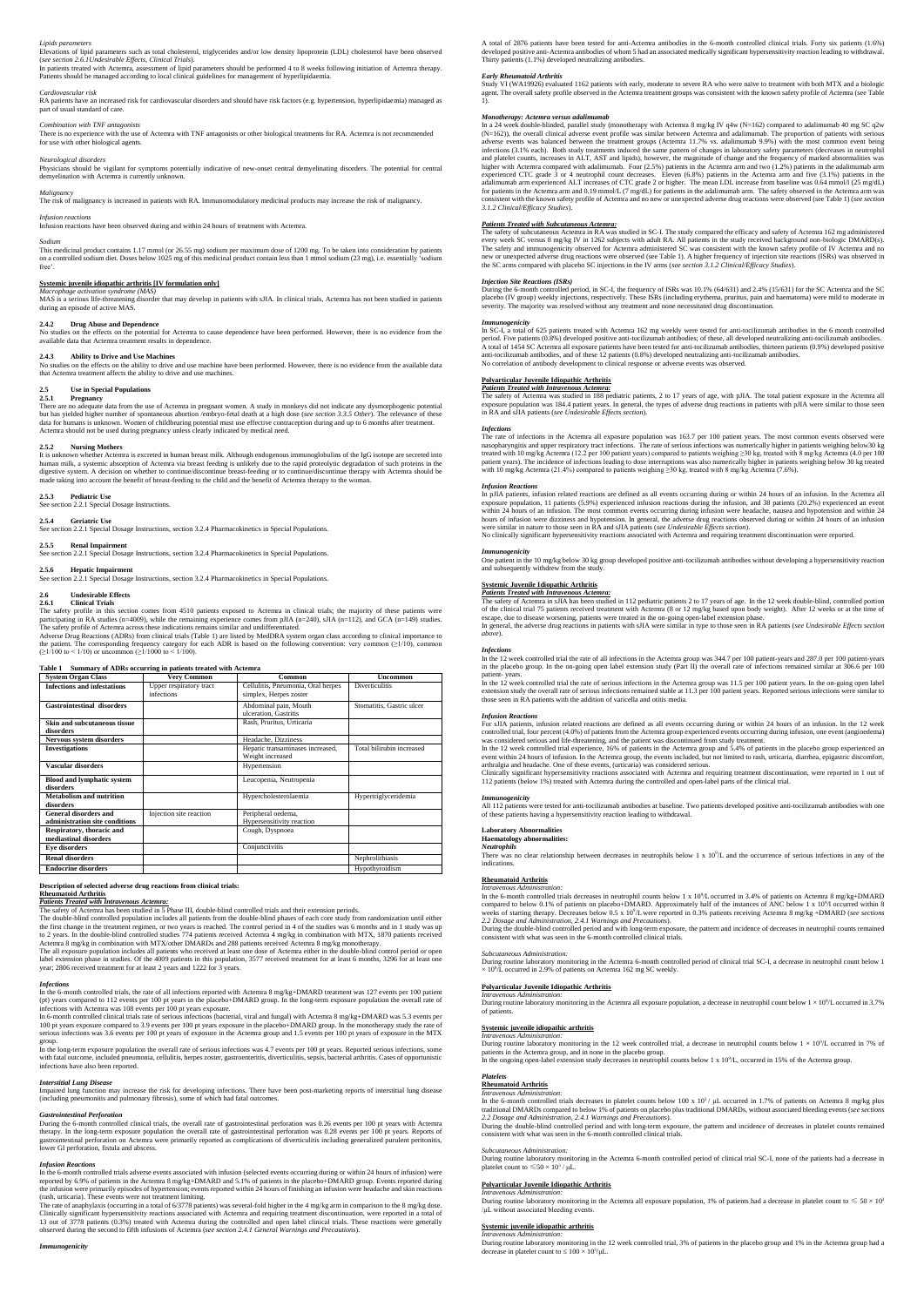### *Lipids parameters*

Elevations of lipid parameters such as total cholesterol, triglycerides and/or low density lipoprotein (LDL) cholesterol have been observed (*see section 2.6.1Undesirable Effects, Clinical Trials*).

In patients treated with Actemra, assessment of lipid parameters should be performed 4 to 8 weeks following initiation of Actemra therapy. Patients should be managed according to local clinical guidelines for management of hyperlipidaemia.

*Cardiovascular risk* RA patients have an increased risk for cardiovascular disorders and should have risk factors (e.g. hypertension, hyperlipidaemia) managed as part of usual standard of care.

## *Combination with TNF antagonists*

There is no experience with the use of Actemra with TNF antagonists or other biological treatments for RA. Actemra is not recommended for use with other biological agents.

## *Neurological disorders*

Physicians should be vigilant for symptoms potentially indicative of new-onset central demyelinating disorders. The potential for central demyelination with Actemra is currently unknown.

## *Malignancy*

The risk of malignancy is increased in patients with RA. Immunomodulatory medicinal products may increase the risk of malignancy.

## *Infusion reactions*

Infusion reactions have been observed during and within 24 hours of treatment with Actemra.

#### *Sodium*

This medicinal product contains 1.17 mmol (or 26.55 mg) sodium per maximum dose of 1200 mg. To be taken into consideration by patients on a controlled sodium diet. Doses below 1025 mg of this medicinal product contain less than 1 mmol sodium (23 mg), i.e. essentially 'sodium free'.

## **Systemic juvenile idiopathic arthritis [IV formulation only]**

*Macrophage activation syndrome (MAS)*  MAS is a serious life-threatening disorder that may develop in patients with sJIA. In clinical trials, Actemra has not been studied in patients during an episode of active MAS.

**2.4.2 Drug Abuse and Dependence** No studies on the effects on the potential for Actemra to cause dependence have been performed. However, there is no evidence from the available data that Actemra treatment results in dependence.

#### **2.4.3 Ability to Drive and Use Machines**

Adverse Drug Reactions (ADRs) from clinical trials (Table 1) are listed by MedDRA system organ class according to clinical importance to the patient. The corresponding frequency category for each ADR is based on the following convention: very common (≥1/10), common (≥1/100 to < 1/1000 to < 1/100).

No studies on the effects on the ability to drive and use machine have been performed. However, there is no evidence from the available data that Actemra treatment affects the ability to drive and use machines.

# **2.5 Use in Special Populations**

**2.5.1 Pregnancy**

There are no adequate data from the use of Actemra in pregnant women. A study in monkeys did not indicate any dysmorphogenic potential but has yielded higher number of spontaneous abortion /embryo-fetal death at a high dose (*see section 3.3.5 Other*). The relevance of these data for humans is unknown. Women of childbearing potential must use effective contraception during and up to 6 months after treatment. Actemra should not be used during pregnancy unless clearly indicated by medical need.

#### **2.5.2 Nursing Mothers**

It is unknown whether Actemra is excreted in human breast milk. Although endogenous immunoglobulins of the IgG isotope are secreted into human milk, a systemic absorption of Actemra via breast feeding is unlikely due to the rapid proteolytic degradation of such proteins in the digestive system. A decision on whether to continue/discontinue breast-feeding or to continue/discontinue therapy with Actemra should be made taking into account the benefit of breast-feeding to the child and the benefit of Actemra therapy to the woman.

**2.5.3 Pediatric Use** See section 2.2.1 Special Dosage Instructions.

## **2.5.4 Geriatric Use**

See section 2.2.1 Special Dosage Instructions, section 3.2.4 Pharmacokinetics in Special Populations.

## **2.5.5 Renal Impairment**

See section 2.2.1 Special Dosage Instructions, section 3.2.4 Pharmacokinetics in Special Populations.

## **2.5.6 Hepatic Impairment**

See section 2.2.1 Special Dosage Instructions, section 3.2.4 Pharmacokinetics in Special Populations.

#### **2.6 Undesirable Effects 2.6.1 Clinical Trials**

ng-term exposure population the overall rate of serious infections was 4.7 events per 100 pt years. Reported serious infections, some with fatal outcome, included pneumonia, cellulitis, herpes zoster, gastroenteritis, diverticulitis, sepsis, bacterial arthritis. Cases of opportunistic infections have also been reported.

The safety profile in this section comes from 4510 patients exposed to Actemra in clinical trials; the majority of these patients were participating in RA studies (n=4009), while the remaining experience comes from pJIA (n=240), sJIA (n=112), and GCA (n=149) studies. The safety profile of Actemra across these indications remains similar and undifferentiated.

## **Table 1 Summary of ADRs occurring in patients treated with Actemra**

The rate of anaphylaxis (occurring in a total of 6/3778 patients) was several-fold higher in the 4 mg/kg arm in comparison to the 8 mg/kg dose. Clinically significant hypersensitivity reactions associated with Actemra and requiring treatment discontinuation, were reported in a total of 13 out of 3778 patients (0.3%) treated with Actemra during the controlled and open label clinical trials. These reactions were generally observed during the second to fifth infusions of Actemra (*see section 2.4.1 General Warnings and Precautions*).

A total of 2876 patients have been tested for anti-Actemra antibodies in the 6-month controlled clinical trials. Forty six patients (1.6%) developed positive anti-Actemra antibodies of whom 5 had an associated medically significant hypersensitivity reaction leading to withdrawal. Thirty patients (1.1%) developed neutralizing antibodies.

| <b>System Organ Class</b>                               | <b>Very Common</b>                    | Common                                                       | <b>Uncommon</b>           |
|---------------------------------------------------------|---------------------------------------|--------------------------------------------------------------|---------------------------|
| <b>Infections and infestations</b>                      | Upper respiratory tract<br>infections | Cellulitis, Pneumonia, Oral herpes<br>simplex, Herpes zoster | <b>Diverticulitis</b>     |
| <b>Gastrointestinal disorders</b>                       |                                       | Abdominal pain, Mouth<br>ulceration, Gastritis               | Stomatitis, Gastric ulcer |
| Skin and subcutaneous tissue<br>disorders               |                                       | Rash, Pruritus, Urticaria                                    |                           |
| Nervous system disorders                                |                                       | Headache, Dizziness                                          |                           |
| <b>Investigations</b>                                   |                                       | Hepatic transaminases increased,<br>Weight increased         | Total bilirubin increased |
| Vascular disorders                                      |                                       | Hypertension                                                 |                           |
| <b>Blood and lymphatic system</b><br>disorders          |                                       | Leucopenia, Neutropenia                                      |                           |
| Metabolism and nutrition<br>disorders                   |                                       | Hypercholesterolaemia                                        | Hypertriglyceridemia      |
| General disorders and<br>administration site conditions | Injection site reaction               | Peripheral oedema,<br>Hypersensitivity reaction              |                           |
| Respiratory, thoracic and<br>mediastinal disorders      |                                       | Cough, Dyspnoea                                              |                           |
| <b>Eye disorders</b>                                    |                                       | Conjunctivitis                                               |                           |
| <b>Renal disorders</b>                                  |                                       |                                                              | Nephrolithiasis           |
| <b>Endocrine disorders</b>                              |                                       |                                                              | Hypothyroidism            |

**Description of selected adverse drug reactions from clinical trials:**

## **Rheumatoid Arthritis**

*Patients Treated with Intravenous Actemra:* The safety of Actemra has been studied in 5 Phase III, double-blind controlled trials and their extension periods.

The double-blind controlled population includes all patients from the double-blind phases of each core study from randomization until either the first change in the treatment regimen, or two years is reached. The control period in 4 of the studies was 6 months and in 1 study was up to 2 years. In the double-blind controlled studies 774 patients received Actemra 4 mg/kg in combination with MTX, 1870 patients received to 2 years. In the double-blind controlled studies 774 patients received Actemra 8 mg/kg in combination with MTX/other DMARDs and 288 patients received Actemra 8 mg/kg monotherapy.

The safety of subcutaneous Actemra in RA was studied in SC-I. The study compared the efficacy and safety of Actemra 162 mg administered<br>every week SC versus 8 mg/kg IV in 1262 subjects with adult RA. All patients in the st The safety and immunogenicity observed for Actemra administered SC was consistent with the known safety profile of IV Actemra and no<br>new or unexpected adverse drug reactions were observed (see Table 1). A higher frequency the SC arms compared with placebo SC injections in the IV arms (*see section 3.1.2 Clinical/Efficacy Studies*).

During the 6-month controlled period, in SC-I, the frequency of ISRs was 10.1% (64/631) and 2.4% (15/631) for the SC Actemra and the SC placebo (IV group) weekly injections, respectively. These ISRs (including erythema, pruritus, pain and haematoma) were mild to moderate in<br>severity. The majority was resolved without any treatment and none necessitated dru

The all exposure population includes all patients who received at least one dose of Actemra either in the double-blind control period or open label extension phase in studies. Of the 4009 patients in this population, 3577 received treatment for at least 6 months, 3296 for at least one year; 2806 received treatment for at least 2 years and 1222 for 3 years.

In SC-I, a total of 625 patients treated with Actemra 162 mg weekly were tested for anti-tocilizumab antibodies in the 6 month controlled<br>period. Five patients (0.8%) developed positive anti-tocilizumab antibodies; of thes A total of 1454 SC Actemra all exposure patients have been tested for anti-tocilizumab antibodies, thirteen patients (0.9%) developed positive anti-tocilizumab antibodies, and of these 12 patients (0.8%) developed neutralizing anti-tocilizumab antibodies. No correlation of antibody development to clinical response or adverse events was observed.

In the 6-month controlled trials, the rate of all infections reported with Actemra 8 mg/kg+DMARD treatment was 127 events per 100 patient (pt) years compared to 112 events per 100 pt years in the placebo+DMARD group. In the long-term exposure population the overall rate of

The safety of Actemra was studied in 188 pediatric patients, 2 to 17 years of age, with pJIA. The total patient exposure in the Actemra all<br>exposure population was 184.4 patient years. In general, the types of adverse drug in RA and sJIA patients (*see Undesirable Effects section*).

In pJIA patients, infusion related reactions are defined as all events occurring during or within 24 hours of an infusion. In the Actemra all exposure population, 11 patients (5.9%) experienced infusion reactions during the infusion, and 38 patients (20.2%) experienced an event within 24 hours of an infusion. The most common events occurring during infusion were headache, nausea and hypotension and within 24 hours of infusion were dizziness and hypotension. In general, the adverse drug reactions observed during or within 24 hours of an infusion<br>were similar in nature to those seen in RA and sJIA patients (see Undesirable Effec

infections with Actemra was 108 events per 100 pt years exposure. In 6-month controlled clinical trials rate of serious infections (bacterial, viral and fungal) with Actemra 8 mg/kg+DMARD was 5.3 events per 100 pt years exposure compared to 3.9 events per 100 pt years exposure in the placebo+DMARD group. In the monotherapy study the rate of serious infections was 3.6 events per 100 pt years of exposure in the Actemra group and 1.5 events per 100 pt years of exposure in the MTX group.

The safety of Actemra in sJIA has been studied in 112 pediatric patients 2 to 17 years of age. In the 12 week double-blind, controlled portion of the clinical trial 75 patients received treatment with Actemra (8 or 12 mg/kg based upon body weight). After 12 weeks or at the time of escape, due to disease worsening, patients were treated in the on-going open-label extension phase.<br>In general, the adverse drug reactions in patients with sJIA were similar in type to those seen in RA patients (*see Undes* 

## *Interstitial Lung Disease*

Impaired lung function may increase the risk for developing infections. There have been post-marketing reports of interstitial lung disease (including pneumonitis and pulmonary fibrosis), some of which had fatal outcomes.

## *Gastrointestinal Perforation*

During the 6-month controlled clinical trials, the overall rate of gastrointestinal perforation was 0.26 events per 100 pt years with Actemra therapy. In the long-term exposure population the overall rate of gastrointestinal perforation was 0.28 events per 100 pt years. Reports of gastrointestinal perforation on Actemra were primarily reported as complications of diverticulitis including generalized purulent peritonitis, lower GI perforation, fistula and abscess.

In the 12 week controlled trial the rate of serious infections in the Actemra group was 11.5 per 100 patient years. In the on-going open label<br>extension study the overall rate of serious infections remained stable at 11.3 those seen in RA patients with the addition of varicella and otitis media.

For sJIA patients, infusion related reactions are defined as all events occurring during or within 24 hours of an infusion. In the 12 week controlled trial, four percent (4.0%) of patients from the Actemra group experienced events occurring during infusion, one event (angioedema)<br>was considered serious and life-threatening, and the patient was discontinued fr

## *Infusion Reactions*

In the 12 week controlled trial experience, 16% of patients in the Actemra group and 5.4% of patients in the placebo group experienced an<br>event within 24 hours of infusion. In the Actemra group, the events included, but no arthralgia and headache. One of these events, (urticaria) was considered serious.

In the 6-month controlled trials adverse events associated with infusion (selected events occurring during or within 24 hours of infusion) were reported by 6.9% of patients in the Actemra 8 mg/kg+DMARD and 5.1% of patients in the placebo+DMARD group. Events reported during the infusion were primarily episodes of hypertension; events reported within 24 hours of finishing an infusion were headache and skin reactions (rash, urticaria). These events were not treatment limiting.

There was no clear relationship between decreases in neutrophils below  $1 \times 10^9/\text{L}$  and the occurrence of serious infections in any of the indications.

In the 6-month controlled trials decreases in neutrophil counts below 1 x  $10<sup>9</sup>/L$  occurred in 3.4% of patients on Actemra 8 mg/kg+DMARD compared to below 0.1% of patients on placebo+DMARD. Approximately half of the instances of ANC below 1 x 10<sup>9</sup>/l occurred within 8 weeks of starting therapy. Decreases below 0.5 x 10<sup>9</sup>/L were reported in 0.3% patients receiving Actemra 8 mg/kg +DMARD (see sections *2.2 Dosage and Administration, 2.4.1 Warnings and Precautions*).

## *Immunogenicity*

During routine laboratory monitoring in the Actemra all exposure population, a decrease in neutrophil count below  $1 \times 10^9$ L occurred in 3.7% of patients.

#### *Early Rheumatoid Arthritis*

Study VI (WA19926) evaluated 1162 patients with early, moderate to severe RA who were naïve to treatment with both MTX and a biologic agent. The overall safety profile observed in the Actemra treatment groups was consistent with the known safety profile of Actemra (see Table 1).

During routine laboratory monitoring in the Actemra 6-month controlled period of clinical trial SC-I, none of the patients had a decrease in platelet count to  $\leq 50 \times 10^3$  /  $\mu$ L.

## *Monotherapy: Actemra versus adalimumab*

During routine laboratory monitoring in the Actemra all exposure population, 1% of patients had a decrease in platelet count to  $\leq 50 \times 10^3$ /μL without associated bleeding events.

During routine laboratory monitoring in the 12 week controlled trial, 3% of patients in the placebo group and 1% in the Actemra group had a decrease in platelet count to  $\leq 100 \times 10^3/\mu L$ .

In a 24 week double-blinded, parallel study (monotherapy with Actemra 8 mg/kg IV q4w (N=162) compared to adalimumab 40 mg SC q2w (N=162)), the overall clinical adverse event profile was similar between Actemra and adalimumab. The proportion of patients with serious<br>adverse events was balanced between the treatment groups (Actemra 11.7% vs. adalimuma infections (3.1% each). Both study treatments induced the same pattern of changes in laboratory safety parameters (decreases in neutrophil<br>and platelet counts, increases in ALT, AST and lipids), however, the magnitude of c higher with Actemra compared with adalimumab. Four (2.5%) patients in the Actemra arm and two (1.2%) patients in the adalimumab arm experienced CTC grade 3 or 4 neutrophil count decreases. Eleven (6.8%) patients in the Actemra arm and five (3.1%) patients in the adalimumab arm experienced ALT increases of CTC grade 2 or higher. The mean LDL increase from baseline was 0.64 mmol/l (25 mg/dL) for patients in the Actemra arm and 0.19 mmol/L (7 mg/dL) for patients in the adalimumab arm. The safety observed in the Actemra arm was consistent with the known safety profile of Actemra and no new or unexpected adverse drug reactions were observed (see Table 1) (*see section 3.1.2 Clinical/Efficacy Studies*).

## *Patients Treated with Subcutaneous Actemra:*

#### *Injection Site Reactions (ISRs)*

#### *Immunogenicity*

## **Polyarticular Juvenile Idiopathic Arthritis**

## *Patients Treated with Intravenous Actemra:*

### *Infections*

The rate of infections in the Actemra all exposure population was 163.7 per 100 patient years. The most common events observed were<br>nasopharyngitis and upper respiratory tract infections. The rate of serious infections was treated with 10 mg/kg Actemra (12.2 per 100 patient years) compared to patients weighing ≥30 kg, treated with 8 mg/kg Actemra (4.0 per 100 patient years). The incidence of infections leading to dose interruptions was also numerically higher in patients weighing below 30 kg treated with 10 mg/kg Actemra (21.4%) compared to patients weighing ≥30 kg, treated with 8 mg/kg Actemra (7.6%).

#### *Infusion Reactions*

No clinically significant hypersensitivity reactions associated with Actemra and requiring treatment discontinuation were reported.

## *Immunogenicity*

One patient in the 10 mg/kg below 30 kg group developed positive anti-tocilizumab antibodies without developing a hypersensitivity reaction and subsequently withdrew from the study.

## **Systemic Juvenile Idiopathic Arthritis**

## *Patients Treated with Intravenous Actemra:*

*above*).

## *Infections*

In the 12 week controlled trial the rate of all infections in the Actemra group was 344.7 per 100 patient-years and 287.0 per 100 patient-years in the placebo group. In the on-going open label extension study (Part II) the overall rate of infections remained similar at 306.6 per 100 patient- years.

#### *Infusion Reactions*

Clinically significant hypersensitivity reactions associated with Actemra and requiring treatment discontinuation, were reported in 1 out of 112 patients (below 1%) treated with Actemra during the controlled and open-label parts of the clinical trial.

#### *Immunogenicity*

All 112 patients were tested for anti-tocilizumab antibodies at baseline. Two patients developed positive anti-tocilizumab antibodies with one of these patients having a hypersensitivity reaction leading to withdrawal.

#### **Laboratory Abnormalities**

#### **Haematology abnormalities:** *Neutrophils*

## **Rheumatoid Arthritis**

*Intravenous Administration:*

During the double-blind controlled period and with long-term exposure, the pattern and incidence of decreases in neutrophil counts remained consistent with what was seen in the 6-month controlled clinical trials.

## *Subcutaneous Administration:*

During routine laboratory monitoring in the Actemra 6-month controlled period of clinical trial SC-I, a decrease in neutrophil count below 1 × 10<sup>9</sup> /L occurred in 2.9% of patients on Actemra 162 mg SC weekly.

#### **Polyarticular Juvenile Idiopathic Arthritis**

#### *Intravenous Administration:*

#### **Systemic juvenile idiopathic arthritis**

Intravenous Administration:<br>During routine laboratory monitoring in the 12 week controlled trial, a decrease in neutrophil counts below 1 × 10<sup>9</sup>/L occurred in 7% of patients in the Actemra group, and in none in the placebo group.<br>In the ongoing open-label extension study decreases in neutrophil counts below 1 x 10<sup>9</sup>/L, occurred in 15% of the Actemra group.

## *Platelets*

## **Rheumatoid Arthritis**

*Intravenous Administration:*

In the 6-month controlled trials decreases in platelet counts below 100 x 10<sup>3</sup>/ μL occurred in 1.7% of patients on Actemra 8 mg/kg plus traditional DMARDs compared to below 1% of patients on placebo plus traditional DMARDs, without associated bleeding events (*see sections 2.2 Dosage and Administration, 2.4.1 Warnings and Precautions*).

During the double-blind controlled period and with long-term exposure, the pattern and incidence of decreases in platelet counts remained consistent with what was seen in the 6-month controlled clinical trials.

#### *Subcutaneous Administration:*

## **Polyarticular Juvenile Idiopathic Arthritis**

*Intravenous Administration:*

## **Systemic juvenile idiopathic arthritis**

#### *Intravenous Administration:*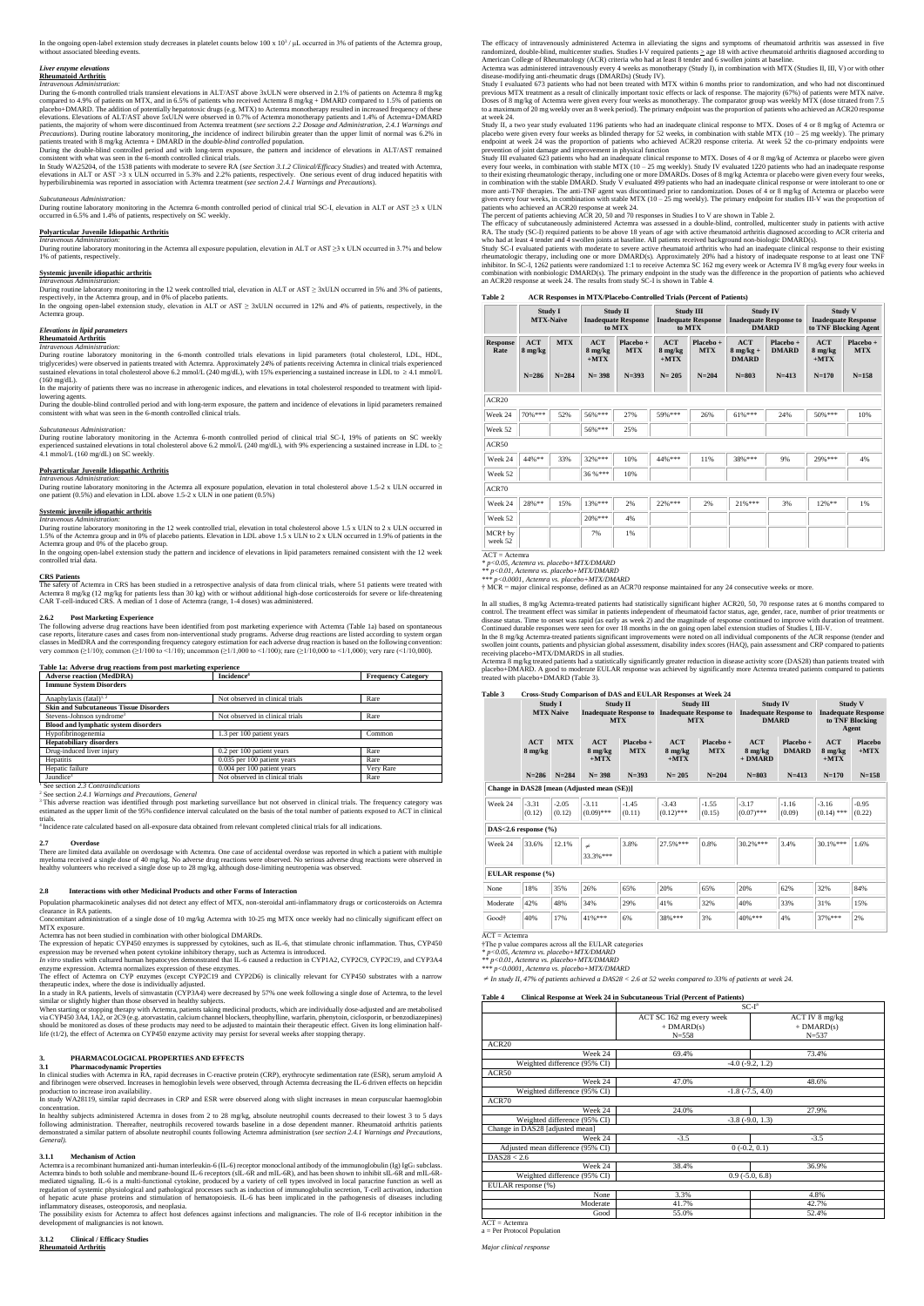In the ongoing open-label extension study decreases in platelet counts below 100 x  $10^3$  /  $\mu$ L occurred in 3% of patients of the Actemra group, without associated bleeding events.

During the 6-month controlled trials transient elevations in ALT/AST above 3xULN were observed in 2.1% of patients on Actemra 8 mg/kg compared to 4.9% of patients on MTX, and in 6.5% of patients who received Actemra 8 mg/kg + DMARD compared to 1.5% of patients on<br>placebo+DMARD. The addition of potentially hepatotoxic drugs (e.g. MTX) to Actemra monothera elevations. Elevations of ALT/AST above 5xULN were observed in 0.7% of Actemra monotherapy patients and 1.4% of Actemra+DMARD<br>patients, the majority of whom were discontinued from Actemra treatment (*see sections 2.2 Dosag* Precautions). During routine laboratory monitoring, the incidence of indirect bilirubin greater than the upper limit of normal was 6.2% in<br>patients treated with 8 mg/kg Actemra + DMARD in the *double-blind controlled* popu

## *Liver enzyme elevations*

#### **Rheumatoid Arthritis** *Intravenous Administration:*

In Study WA25204, of the 1538 patients with moderate to severe RA (*see Section 3.1.2 Clinical/Efficacy Studies*) and treated with Actemra, elevations in ALT or AST >3 x ULN occurred in 5.3% and 2.2% patients, respectively. One serious event of drug induced hepatitis with<br>hyperbilirubinemia was reported in association with Actemra treatment (see section 2.4.1

During the double-blind controlled period and with long-term exposure, the pattern and incidence of elevations in ALT/AST remained consistent with what was seen in the 6-month controlled clinical trials.

respectively, in the Actemra group, and in 0% of placebo patients.<br>In the ongoing open-label extension study, elevation in ALT or AST ≥ 3xULN occurred in 12% and 4% of patients, respectively, in the Actemra group.

In the majority of patients there was no increase in atherogenic indices, and elevations in total cholesterol responded to treatment with lipidlowering agents.

## *Subcutaneous Administration:*

During routine laboratory monitoring in the Actemra 6-month controlled period of clinical trial SC-I, elevation in ALT or AST ≥3 x ULN occurred in 6.5% and 1.4% of patients, respectively on SC weekly.

## **Polyarticular Juvenile Idiopathic Arthritis**

*Intravenous Administration:* During routine laboratory monitoring in the Actemra all exposure population, elevation in ALT or AST ≥3 x ULN occurred in 3.7% and below 1% of patients, respectively.

## **Systemic juvenile idiopathic arthritis**

During routine laboratory monitoring in the 12 week controlled trial, elevation in total cholesterol above 1.5 x ULN to 2 x ULN occurred in 1.5% of the Actemra group and in 0% of placebo patients. Elevation in LDL above 1.5 x ULN to 2 x ULN occurred in 1.9% of patients in the Actemra group and 0% of the placebo group.

*Intravenous Administration:* During routine laboratory monitoring in the 12 week controlled trial, elevation in ALT or AST ≥ 3xULN occurred in 5% and 3% of patients,

In the ongoing open-label extension study the pattern and incidence of elevations in lipid parameters remained consistent with the 12 week controlled trial data.

The safety of Actemra in CRS has been studied in a retrospective analysis of data from clinical trials, where 51 patients were treated with Actemra 8 mg/kg (12 mg/kg for patients less than 30 kg) with or without additional high-dose corticosteroids for severe or life-threatening<br>CAR T-cell-induced CRS. A median of 1 dose of Actemra (range, 1-4 doses) was admin

## *Elevations in lipid parameters*

**Rheumatoid Arthritis**

### *Intravenous Administration:*

During routine laboratory monitoring in the 6-month controlled trials elevations in lipid parameters (total cholesterol, LDL, HDL, triglycerides) were observed in patients treated with Actemra. Approximately 24% of patients receiving Actemra in clinical trials experienced<br>sustained elevations in total cholesterol above 6.2 mmol/L (240 mg/dL), with 15 (160 mg/dL).

<sup>1</sup> See section 2.3 Contraindications <sup>2</sup> See section *2.4.1 Warnings and Precautions, General*

<sup>3</sup>This adverse reaction was identified through post marketing surveillance but not observed in clinical trials. The frequency category was estimated as the upper limit of the 95% confidence interval calculated on the basis of the total number of patients exposed to ACT in clinical trials.

During the double-blind controlled period and with long-term exposure, the pattern and incidence of elevations in lipid parameters remained consistent with what was seen in the 6-month controlled clinical trials.

## *Subcutaneous Administration:*

During routine laboratory monitoring in the Actemra 6-month controlled period of clinical trial SC-I, 19% of patients on SC weekly experienced sustained elevations in total cholesterol above 6.2 mmol/L (240 mg/dL), with 9% experiencing a sustained increase in LDL to  $\geq$ 4.1 mmol/L (160 mg/dL) on SC weekly.

The expression of hepatic CYP450 enzymes is suppressed by cytokines, such as IL-6, that stimulate chronic inflammation. Thus, CYP450 expression may be reversed when potent cytokine inhibitory therapy, such as Actemra is introduced.<br>*In vitro s*tudies with cultured human hepatocytes demonstrated that IL-6 caused a reduction in CYP1A2, CYP2C9, CYP2C19, an

## **Polyarticular Juvenile Idiopathic Arthritis**

*Intravenous Administration:*

During routine laboratory monitoring in the Actemra all exposure population, elevation in total cholesterol above 1.5-2 x ULN occurred in one patient (0.5%) and elevation in LDL above 1.5-2 x ULN in one patient (0.5%)

## **Systemic juvenile idiopathic arthritis**

*Intravenous Administration:*

When starting or stopping therapy with Actemra, patients taking medicinal products, which are individually dose-adjusted and are metabolised via CYP450 3A4, 1A2, or 2C9 (e.g. atorvastatin, calcium channel blockers, theophylline, warfarin, phenytoin, ciclosporin, or benzodiazepines) should be monitored as doses of these products may need to be adjusted to maintain their therapeutic effect. Given its long elimination halflife (t1/2), the effect of Actemra on CYP450 enzyme activity may persist for several weeks after stopping therapy.

## **CRS Patients**

 **2.6.2 Post Marketing Experience**  The following adverse drug reactions have been identified from post marketing experience with Actemra (Table 1a) based on spontaneous case reports, literature cases and cases from non-interventional study programs. Adverse drug reactions are listed according to system organ classes in MedDRA and the corresponding frequency category estimation for each adverse drug reaction is based on the following convention: very common (≥1/10); common (≥1/100 to <1/10); uncommon (≥1/1,000 to <1/100); rare (≥1/10,000 to <1/1,000); very rare (<1/10,000).

Actemra is a recombinant humanized anti-human interleukin-6 (IL-6) receptor monoclonal antibody of the immunoglobulin (Ig) IgG<sub>1</sub> subclass. Actemra binds to both soluble and membrane-bound IL-6 receptors (sIL-6R and mIL-6R), and has been shown to inhibit sIL-6R and mIL-6Rmediated signaling. IL-6 is a multi-functional cytokine, produced by a variety of cell types involved in local paracrine function as well as regulation of systemic physiological and pathological processes such as induction of immunoglobulin secretion, T-cell activation, induction of hepatic acute phase proteins and stimulation of hematopoiesis. IL-6 has been implicated in the pathogenesis of diseases including inflammatory diseases, osteoporosis, and neoplasia.

The efficacy of intravenously administered Actemra in alleviating the signs and symptoms of rheumatoid arthritis was assessed in five randomized, double-blind, multicenter studies. Studies I-V required patients ≥ age 18 with active rheumatoid arthritis diagnosed according to<br>American College of Rheumatology (ACR) criteria who had at least 8 tender and 6

| Table 1a: Adverse drug reactions from post marketing experience |                                 |                           |  |
|-----------------------------------------------------------------|---------------------------------|---------------------------|--|
| <b>Adverse reaction (MedDRA)</b>                                | Incidence <sup>4</sup>          | <b>Frequency Category</b> |  |
| <b>Immune System Disorders</b>                                  |                                 |                           |  |
| Anaphylaxis (fatal) <sup>1, 2</sup>                             | Not observed in clinical trials | Rare                      |  |
| <b>Skin and Subcutaneous Tissue Disorders</b>                   |                                 |                           |  |
| Stevens-Johnson syndrome <sup>3</sup>                           | Not observed in clinical trials | Rare                      |  |
| <b>Blood and lymphatic system disorders</b>                     |                                 |                           |  |
| Hypofibrinogenemia                                              | 1.3 per 100 patient years       | Common                    |  |
| <b>Hepatobiliary disorders</b>                                  |                                 |                           |  |
| Drug-induced liver injury                                       | 0.2 per 100 patient years       | Rare                      |  |
| Hepatitis                                                       | 0.035 per 100 patient years     | Rare                      |  |
| Hepatic failure                                                 | 0.004 per 100 patient years     | Very Rare                 |  |
| Jaundice <sup>3</sup>                                           | Not observed in clinical trials | Rare                      |  |

Study I evaluated 673 patients who had not been treated with MTX within 6 months prior to randomization, and who had not discontinued<br>previous MTX treatment as a result of clinically important toxic effects or lack of resp Doses of 8 mg/kg of Actemra were given every four weeks as monotherapy. The comparator group was weekly MTX (dose titrated from 7.5 to a maximum of 20 mg weekly over an 8 week period). The primary endpoint was the proportion of patients who achieved an ACR20 response at week 24.

Study II, a two year study evaluated 1196 patients who had an inadequate clinical response to MTX. Doses of 4 or 8 mg/kg of Actemra or placebo were given every four weeks as blinded therapy for 52 weeks, in combination with stable MTX (10 – 25 mg weekly). The primary<br>endpoint at week 24 was the proportion of patients who achieved ACR20 response criteria.

<sup>4</sup>Incidence rate calculated based on all-exposure data obtained from relevant completed clinical trials for all indications.

The efficacy of subcutaneously administered Actemra was assessed in a double-blind, controlled, multicenter study in patients with active RA. The study (SC-I) required patients to be above 18 years of age with active rheumatoid arthritis diagnosed according to ACR criteria and<br>who had at least 4 tender and 4 swollen joints at baseline. All patients received

#### **2.7 Overdose**

There are limited data available on overdosage with Actemra. One case of accidental overdose was reported in which a patient with multiple myeloma received a single dose of 40 mg/kg. No adverse drug reactions were observed. No serious adverse drug reactions were observed in healthy volunteers who received a single dose up to 28 mg/kg, although dose-limiting neutropenia was observed.

## **2.8 Interactions with other Medicinal Products and other Forms of Interaction**

Population pharmacokinetic analyses did not detect any effect of MTX, non-steroidal anti-inflammatory drugs or corticosteroids on Actemra clearance in RA patients.

Concomitant administration of a single dose of 10 mg/kg Actemra with 10-25 mg MTX once weekly had no clinically significant effect on MTX exposure.

Actemra has not been studied in combination with other biological DMARDs.

enzyme expression. Actemra normalizes expression of these enzymes.

The effect of Actemra on CYP enzymes (except CYP2C19 and CYP2D6) is clinically relevant for CYP450 substrates with a narrow peutic index, where the dose is individually adjusted.

In a study in RA patients, levels of simvastatin (CYP3A4) were decreased by 57% one week following a single dose of Actemra, to the level similar or slightly higher than those observed in healthy subjects.

# **3. PHARMACOLOGICAL PROPERTIES AND EFFECTS**

#### **3.1 Pharmacodynamic Properties**

In clinical studies with Actemra in RA, rapid decreases in C-reactive protein (CRP), erythrocyte sedimentation rate (ESR), serum amyloid A and fibrinogen were observed. Increases in hemoglobin levels were observed, through Actemra decreasing the IL-6 driven effects on hepcidin production to increase iron availability.

In study WA28119, similar rapid decreases in CRP and ESR were observed along with slight increases in mean corpuscular haemoglobin concentration.

In healthy subjects administered Actemra in doses from 2 to 28 mg/kg, absolute neutrophil counts decreased to their lowest 3 to 5 days following administration. Thereafter, neutrophils recovered towards baseline in a dose dependent manner. Rheumatoid arthritis patients demonstrated a similar pattern of absolute neutrophil counts following Actemra administration (*see section 2.4.1 Warnings and Precautions, General).*

## **3.1.1 Mechanism of Action**

The possibility exists for Actemra to affect host defences against infections and malignancies. The role of Il-6 receptor inhibition in the development of malignancies is not known.

**3.1.2 Clinical / Efficacy Studies Rheumatoid Arthritis** 

Actemra was administered intravenously every 4 weeks as monotherapy (Study I), in combination with MTX (Studies II, III, V) or with other disease-modifying anti-rheumatic drugs (DMARDs) (Study IV).

prevention of joint damage and improvement in physical function Study III evaluated 623 patients who had an inadequate clinical response to MTX. Doses of 4 or 8 mg/kg of Actemra or placebo were given every four weeks, in combination with stable MTX (10−25 mg weekly). Study IV evaluated 1220 patients who had an inadequate response<br>to their existing rheumatologic therapy, including one or more DMARDs. Doses of 8 mg/kg A in combination with the stable DMARD. Study V evaluated 499 patients who had an inadequate clinical response or were intolerant to one or more anti-TNF therapies. The anti-TNF agent was discontinued prior to randomization. Doses of 4 or 8 mg/kg of Actemra or placebo were given every four weeks, in combination with stable MTX  $(10 - 25$  mg weekly). The primary endpoint for studies III-V was the proportion of patients who achieved an ACR20 response at week 24.

The percent of patients achieving ACR 20, 50 and 70 responses in Studies I to V are shown in Table 2.

Study SC-I evaluated patients with moderate to severe active rheumatoid arthritis who had an inadequate clinical response to their existing rheumatologic therapy, including one or more DMARD(s). Approximately 20% had a history of inadequate response to at least one TNF inhibitor. In SC-I, 1262 patients were randomized 1:1 to receive Actemra SC 162 mg every week or Actemra IV 8 mg/kg every four weeks in<br>combination with nonbiologic DMARD(s). The primary endpoint in the study was the diffe an ACR20 response at week 24. The results from study SC-I is shown in Table 4.

## **Table 2 ACR Responses in MTX/Placebo-Controlled Trials (Percent of Patients)**

|                                | Study I<br><b>MTX-Naïve</b> |            | <b>Study II</b><br><b>Inadequate Response</b><br>to MTX |                         | <b>Study III</b><br><b>Inadequate Response</b><br>to MTX |                           | <b>Study IV</b><br><b>Inadequate Response to</b><br><b>DMARD</b> |                           | <b>Study V</b><br><b>Inadequate Response</b><br>to TNF Blocking Agent |                         |
|--------------------------------|-----------------------------|------------|---------------------------------------------------------|-------------------------|----------------------------------------------------------|---------------------------|------------------------------------------------------------------|---------------------------|-----------------------------------------------------------------------|-------------------------|
| <b>Response</b><br>Rate        | <b>ACT</b><br>8 mg/kg       | <b>MTX</b> | <b>ACT</b><br>8 mg/kg<br>$+MTX$                         | Placebo +<br><b>MTX</b> | <b>ACT</b><br>8 mg/kg<br>$+MTX$                          | $Placebo +$<br><b>MTX</b> | <b>ACT</b><br>$8$ mg/kg +<br><b>DMARD</b>                        | Placebo +<br><b>DMARD</b> | <b>ACT</b><br>8 mg/kg<br>$+MTX$                                       | Placebo +<br><b>MTX</b> |
|                                | $N = 286$                   | $N = 284$  | $N = 398$                                               | $N = 393$               | $N = 205$                                                | $N = 204$                 | $N = 803$                                                        | $N = 413$                 | $N = 170$                                                             | $N = 158$               |
| ACR20                          |                             |            |                                                         |                         |                                                          |                           |                                                                  |                           |                                                                       |                         |
| Week 24                        | 70%***                      | 52%        | 56%***                                                  | 27%                     | 59%***                                                   | 26%                       | $61\%***$                                                        | 24%                       | $50\%***$                                                             | 10%                     |
| Week 52                        |                             |            | 56%***                                                  | 25%                     |                                                          |                           |                                                                  |                           |                                                                       |                         |
| ACR50                          |                             |            |                                                         |                         |                                                          |                           |                                                                  |                           |                                                                       |                         |
| Week 24                        | 44%**                       | 33%        | 32%***                                                  | 10%                     | 44%***                                                   | 11%                       | 38%***                                                           | 9%                        | 29% ***                                                               | 4%                      |
| Week 52                        |                             |            | 36 %***                                                 | 10%                     |                                                          |                           |                                                                  |                           |                                                                       |                         |
| ACR70                          |                             |            |                                                         |                         |                                                          |                           |                                                                  |                           |                                                                       |                         |
| Week 24                        | 28%**                       | 15%        | 13%***                                                  | 2%                      | $22%***$                                                 | 2%                        | $21%***$                                                         | 3%                        | $12%$ **                                                              | 1%                      |
| Week 52                        |                             |            | $20%***$                                                | 4%                      |                                                          |                           |                                                                  |                           |                                                                       |                         |
| MCR <sup>+</sup> by<br>week 52 |                             |            | 7%                                                      | 1%                      |                                                          |                           |                                                                  |                           |                                                                       |                         |

 $ACT = Actemra$ 

*\* p<0.05, Actemra vs. placebo+MTX/DMARD \*\* p<0.01*, *Actemra vs. placebo+MTX/DMARD*

*\*\*\* p<0.0001, Actemra vs. placebo+MTX/DMARD*

† MCR = major clinical response, defined as an ACR70 response maintained for any 24 consecutive weeks or more.

In all studies, 8 mg/kg Actemra-treated patients had statistically significant higher ACR20, 50, 70 response rates at 6 months compared to control. The treatment effect was similar in patients independent of rheumatoid factor status, age, gender, race, number of prior treatments or disease status. Time to onset was rapid (as early as week 2) and the magnitude of response continued to improve with duration of treatment. Continued durable responses were seen for over 18 months in the on going open label extension studies of Studies I, III-V.

In the 8 mg/kg Actemra-treated patients significant improvements were noted on all individual components of the ACR response (tender and swollen joint counts, patients and physician global assessment, disability index scores (HAQ), pain assessment and CRP compared to patients receiving placebo+MTX/DMARDS in all studies.

Actemra 8 mg/kg treated patients had a statistically significantly greater reduction in disease activity score (DAS28) than patients treated with placebo+DMARD. A good to moderate EULAR response was achieved by significantly more Actemra treated patients compared to patients treated with placebo+DMARD (Table 3).

#### **Table 3 Cross-Study Comparison of DAS and EULAR Responses at Week 24**

|                          | <b>Study I</b><br><b>MTX Naive</b> |                   | <b>Study II</b><br><b>Inadequate Response to</b><br><b>MTX</b> |                           | <b>Study III</b><br><b>Inadequate Response to</b><br><b>MTX</b> |                           | <b>Study IV</b><br><b>Inadequate Response to</b><br><b>DMARD</b> |                           | <b>Study V</b><br><b>Inadequate Response</b><br>to TNF Blocking<br>Agent |                   |
|--------------------------|------------------------------------|-------------------|----------------------------------------------------------------|---------------------------|-----------------------------------------------------------------|---------------------------|------------------------------------------------------------------|---------------------------|--------------------------------------------------------------------------|-------------------|
|                          | ACT<br>$8 \text{ mg/kg}$           | <b>MTX</b>        | ACT<br>$8 \text{ mg/kg}$<br>$+MTX$                             | $Placebo +$<br><b>MTX</b> | ACT<br>8 mg/kg<br>$+MTX$                                        | $Placebo +$<br><b>MTX</b> | ACT<br>$8 \text{ mg/kg}$<br>$+D M ARD$                           | Placebo +<br><b>DMARD</b> | <b>ACT</b><br>$8 \text{ mg/kg}$<br>$+MTX$                                | Placebo<br>$+MTX$ |
|                          | $N = 286$                          | $N = 284$         | $N = 398$                                                      | $N = 393$                 | $N = 205$                                                       | $N = 204$                 | $N = 803$                                                        | $N = 413$                 | $N = 170$                                                                | $N = 158$         |
|                          |                                    |                   | Change in DAS28 [mean (Adjusted mean (SE))]                    |                           |                                                                 |                           |                                                                  |                           |                                                                          |                   |
| Week 24                  | $-3.31$<br>(0.12)                  | $-2.05$<br>(0.12) | $-3.11$<br>$(0.09)$ ***                                        | $-1.45$<br>(0.11)         | $-3.43$<br>$(0.12)$ ***                                         | $-1.55$<br>(0.15)         | $-3.17$<br>$(0.07)$ ***                                          | $-1.16$<br>(0.09)         | $-3.16$<br>$(0.14)$ ***                                                  | $-0.95$<br>(0.22) |
| DAS<2.6 response $(\% )$ |                                    |                   |                                                                |                           |                                                                 |                           |                                                                  |                           |                                                                          |                   |
| Week 24                  | 33.6%                              | 12.1%             | $\neq$<br>33.3%***                                             | 3.8%                      | 27.5%***                                                        | 0.8%                      | $30.2\%$ ***                                                     | 3.4%                      | $30.1\%$ ***                                                             | 1.6%              |
|                          | EULAR response (%)                 |                   |                                                                |                           |                                                                 |                           |                                                                  |                           |                                                                          |                   |
| None                     | 18%                                | 35%               | 26%                                                            | 65%                       | 20%                                                             | 65%                       | 20%                                                              | 62%                       | 32%                                                                      | 84%               |
| Moderate                 | 42%                                | 48%               | 34%                                                            | 29%                       | 41%                                                             | 32%                       | 40%                                                              | 33%                       | 31%                                                                      | 15%               |
| Good†<br>$ACT = Actemra$ | 40%                                | 17%               | 41%***                                                         | 6%                        | 38%***                                                          | 3%                        | 40%***                                                           | 4%                        | $37\%***$                                                                | 2%                |

ACT = Actemra †The p value compares across all the EULAR categories

*\* p<0.05, Actemra vs. placebo+MTX/DMARD \*\* p<0.01*, *Actemra vs. placebo+MTX/DMARD*

*\*\*\* p<0.0001*, *Actemra vs. placebo+MTX/DMARD*

≠ *In study II, 47% of patients achieved a DAS28 < 2.6 at 52 weeks compared to 33% of patients at week 24.*

## **Table 4 Clinical Response at Week 24 in Subcutaneous Trial (Percent of Patients)**

|                                   | $SC-Ia$                                               |                                             |
|-----------------------------------|-------------------------------------------------------|---------------------------------------------|
|                                   | ACT SC 162 mg every week<br>$+$ DMARD(s)<br>$N = 558$ | ACT IV 8 mg/kg<br>$+$ DMARD(s)<br>$N = 537$ |
| ACR20                             |                                                       |                                             |
| Week 24                           | 69.4%                                                 | 73.4%                                       |
| Weighted difference (95% CI)      | $-4.0$ $(-9.2, 1.2)$                                  |                                             |
| ACR50                             |                                                       |                                             |
| Week 24                           | 47.0%                                                 | 48.6%                                       |
| Weighted difference (95% CI)      | $-1.8$ $(-7.5, 4.0)$                                  |                                             |
| ACR70                             |                                                       |                                             |
| Week 24                           | 24.0%                                                 | 27.9%                                       |
| Weighted difference (95% CI)      | $-3.8$ $(-9.0, 1.3)$                                  |                                             |
| Change in DAS28 [adjusted mean]   |                                                       |                                             |
| Week 24                           | $-3.5$                                                | $-3.5$                                      |
| Adjusted mean difference (95% CI) | $0(-0.2, 0.1)$                                        |                                             |
| DAS28 < 2.6                       |                                                       |                                             |
| Week 24                           | 38.4%                                                 | 36.9%                                       |
| Weighted difference (95% CI)      | $0.9$ ( $-5.0, 6.8$ )                                 |                                             |
| EULAR response (%)                |                                                       |                                             |
| None                              | 3.3%                                                  | 4.8%                                        |
| Moderate                          | 41.7%                                                 | 42.7%                                       |
| Good                              | 55.0%                                                 | 52.4%                                       |

 $ACT = Actemra$ 

 $=$  Per Protocol Population

*Major clinical response*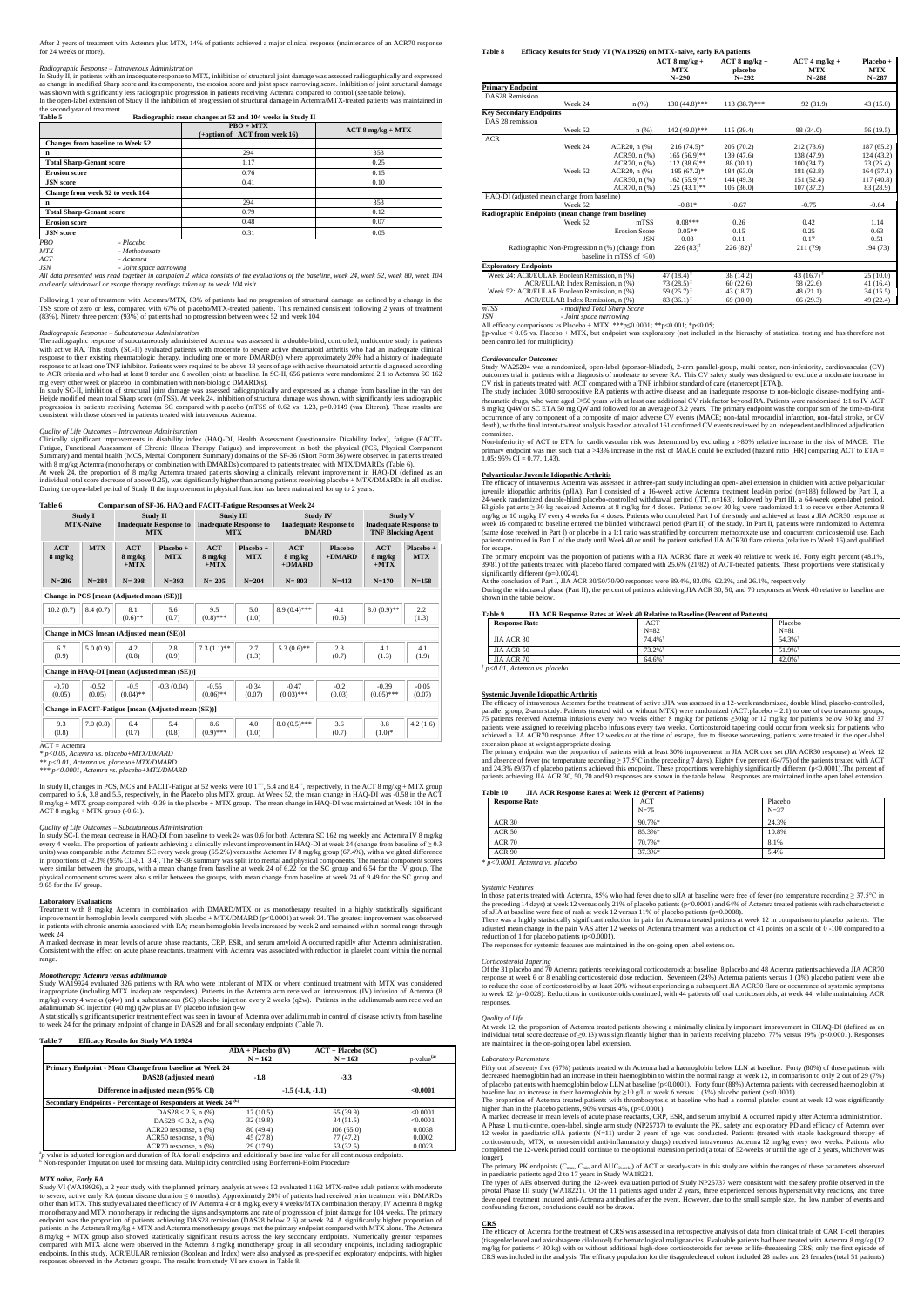After 2 years of treatment with Actemra plus MTX, 14% of patients achieved a major clinical response (maintenance of an ACR70 response for 24 weeks or more).

## *Radiographic Response – Intravenous Administration*

In Study II, in patients with an inadequate response to MTX, inhibition of structural joint damage was assessed radiographically and expressed as change in modified Sharp score and its components, the erosion score and joint space narrowing score. Inhibition of joint structural damage was shown with significantly less radiographic progression in patients receiving Actemra compared to control (see table below). In the open-label extension of Study II the inhibition of progression of structural damage in Actemra/MTX-treated patients was maintained in the second year of treatment.

Following 1 year of treatment with Actemra/MTX, 83% of patients had no progression of structural damage, as defined by a change in the TSS score of zero or less, compared with 67% of placebo/MTX-treated patients. This remained consistent following 2 years of treatment<br>(83%). Ninety three percent (93%) of patients had no progression between week 52 and wee

| Table 5<br>Radiographic mean changes at 52 and 104 weeks in Study II |                                              |                     |  |  |  |  |  |
|----------------------------------------------------------------------|----------------------------------------------|---------------------|--|--|--|--|--|
|                                                                      | $PBO + MTX$<br>(+option of ACT from week 16) | $ACT 8 mg/kg + MTX$ |  |  |  |  |  |
| <b>Changes from baseline to Week 52</b>                              |                                              |                     |  |  |  |  |  |
| n                                                                    | 294                                          | 353                 |  |  |  |  |  |
| <b>Total Sharp-Genant score</b>                                      | 1.17                                         | 0.25                |  |  |  |  |  |
| <b>Erosion score</b>                                                 | 0.76                                         | 0.15                |  |  |  |  |  |
| <b>JSN</b> score                                                     | 0.41                                         | 0.10                |  |  |  |  |  |
| Change from week 52 to week 104                                      |                                              |                     |  |  |  |  |  |
| n                                                                    | 294                                          | 353                 |  |  |  |  |  |
| <b>Total Sharp-Genant score</b>                                      | 0.79                                         | 0.12                |  |  |  |  |  |
| <b>Erosion score</b>                                                 | 0.48                                         | 0.07                |  |  |  |  |  |
| <b>JSN</b> score                                                     | 0.31                                         | 0.05                |  |  |  |  |  |
| - Placebo<br>PBO <sub></sub><br><b>MTX</b><br>- Methotrexate         |                                              |                     |  |  |  |  |  |

*ACT - Actemra*

*JSN - Joint space narrowing*

*All data presented was read together in campaign 2 which consists of the evaluations of the baseline, week 24, week 52, week 80, week 104 and early withdrawal or escape therapy readings taken up to week 104 visit.*

In study SC-II, inhibition of structural joint damage was assessed radiographically and expressed as a change from baseline in the van der<br>Heijde modified mean total Sharp score (mTSS). At week 24, inhibition of structural progression in patients receiving Actemra SC compared with placebo (mTSS of 0.62 vs. 1.23, p=0.0149 (van Elteren). These results are consistent with those observed in patients treated with intravenous Actemra.

### *Radiographic Response – Subcutaneous Administration*

The radiographic response of subcutaneously administered Actemra was assessed in a double-blind, controlled, multicentre study in patients<br>with active RA. This study (SC-II) evaluated patients with moderate to severe activ response to their existing rheumatologic therapy, including one or more DMARD(s) where approximately 20% had a history of inadequate response to at least one TNF inhibitor. Patients were required to be above 18 years of age with active rheumatoid arthritis diagnosed according to ACR criteria and who had at least 8 tender and 6 swollen joints at baseline. In SC-II, 656 patients were randomized 2:1 to Actemra SC 162 mg every other week or placebo, in combination with non-biologic DMARD(s).

At week 24, the proportion of 8 mg/kg Actemra treated patients showing a clinically relevant improvement in HAQ-DI (defined as an<br>individual total score decrease of above 0.25), was significantly higher than among patients During the open-label period of Study II the improvement in physical function has been maintained for up to 2 years.

In study II, changes in PCS, MCS and FACIT-Fatigue at 52 weeks were 10.1\*\*\*, 5.4 and 8.4\*\*, respectively, in the ACT 8 mg/kg + MTX group compared to 5.6, 3.8 and 5.5, respectively, in the Placebo plus MTX group. At Week 52, the mean change in HAQ-DI was -0.58 in the ACT<br>8 mg/kg + MTX group compared with -0.39 in the placebo + MTX group. The mean change in H ACT 8 mg/kg + MTX group (-0.61).

In study SC-I, the mean decrease in HAQ-DI from baseline to week 24 was 0.6 for both Actemra SC 162 mg weekly and Actemra IV 8 mg/kg every 4 weeks. The proportion of patients achieving a clinically relevant improvement in HAQ-DI at week 24 (change from baseline of ≥ 0.3<br>units) was comparable in the Actemra SC every week group (65.2%) versus the Actemra in proportions of -2.3% (95% CI -8.1, 3.4). The SF-36 summary was split into mental and physical components. The mental component scores were similar between the groups, with a mean change from baseline at week 24 of 6.22 for the SC group and 6.54 for the IV group. The physical component scores were also similar between the groups, with mean change from baseline at week 24 of 9.49 for the SC group and 9.65 for the IV group.

## *Quality of Life Outcomes – Intravenous Administration*

Clinically significant improvements in disability index (HAQ-DI, Health Assessment Questionnaire Disability Index), fatigue (FACIT-<br>Fatigue, Functional Assessment of Chronic Illness Therapy Fatigue) and improvement in both

Treatment with 8 mg/kg Actemra in combination with DMARD/MTX or as monotherapy resulted in a highly statistically significant<br>improvement in hemoglobin levels compared with placebo + MTX/DMARD (p<0.0001) at week 24. The gr in patients with chronic anemia associated with RA; mean hemoglobin levels increased by week 2 and remained within normal range through week 24.

ACR70 response, n (%) 29 (17.9) 53 (32.5) 0.0023<br><sup>*a*</sup> value is adjusted for region and duration of RA for all endpoints and additionally baseline value for all continuous endpoints. <sup>b</sup> Non-responder Imputation used for missing data. Multiplicity controlled using Bonferroni-Holm Procedure

| Table 6           |                             |                                           |                                                                |                          |                                                                 | <b>Comparison of SF-36, HAO and FACIT-Fatigue Responses at Week 24</b> |                                                                  |                          |                                                                              |  |
|-------------------|-----------------------------|-------------------------------------------|----------------------------------------------------------------|--------------------------|-----------------------------------------------------------------|------------------------------------------------------------------------|------------------------------------------------------------------|--------------------------|------------------------------------------------------------------------------|--|
|                   | Study I<br><b>MTX-Naïve</b> |                                           | <b>Study II</b><br><b>Inadequate Response to</b><br><b>MTX</b> |                          | <b>Study III</b><br><b>Inadequate Response to</b><br><b>MTX</b> |                                                                        | <b>Study IV</b><br><b>Inadequate Response to</b><br><b>DMARD</b> |                          | <b>Study V</b><br><b>Inadequate Response to</b><br><b>TNF Blocking Agent</b> |  |
| ACT<br>8 mg/kg    | <b>MTX</b>                  | ACT<br>8 mg/kg<br>$+MTX$                  | Placebo +<br><b>MTX</b>                                        | ACT<br>8 mg/kg<br>$+MTX$ | $Placebo +$<br><b>MTX</b>                                       | ACT<br>$8 \text{ mg/kg}$<br>$+D M ARD$                                 | Placebo<br>$+D M ARD$                                            | ACT<br>8 mg/kg<br>$+MTX$ | $Placebo +$<br><b>MTX</b>                                                    |  |
| $N = 286$         | $N = 284$                   | $N = 398$                                 | $N = 393$                                                      | $N = 205$                | $N = 204$                                                       | $N = 803$                                                              | $N = 413$                                                        | $N = 170$                | $N = 158$                                                                    |  |
|                   |                             | Change in PCS [mean (Adjusted mean (SE))] |                                                                |                          |                                                                 |                                                                        |                                                                  |                          |                                                                              |  |
| 10.2(0.7)         | 8.4(0.7)                    | 8.1<br>$(0.6)$ **                         | 5.6<br>(0.7)                                                   | 9.5<br>$(0.8)$ ***       | 5.0<br>(1.0)                                                    | $8.9(0.4)$ ***                                                         | 4.1<br>(0.6)                                                     | $8.0(0.9)$ **            | 2.2<br>(1.3)                                                                 |  |
|                   |                             | Change in MCS [mean (Adjusted mean (SE))] |                                                                |                          |                                                                 |                                                                        |                                                                  |                          |                                                                              |  |
| 6.7<br>(0.9)      | 5.0(0.9)                    | 4.2<br>(0.8)                              | 2.8<br>(0.9)                                                   | $7.3(1.1)$ **            | 2.7<br>(1.3)                                                    | 5.3 $(0.6)$ **                                                         | 2.3<br>(0.7)                                                     | 4.1<br>(1.3)             | 4.1<br>(1.9)                                                                 |  |
|                   |                             |                                           | Change in HAQ-DI [mean (Adjusted mean (SE))]                   |                          |                                                                 |                                                                        |                                                                  |                          |                                                                              |  |
| $-0.70$<br>(0.05) | $-0.52$<br>(0.05)           | $-0.5$<br>$(0.04)$ **                     | $-0.3(0.04)$                                                   | $-0.55$<br>$(0.06)$ **   | $-0.34$<br>(0.07)                                               | $-0.47$<br>$(0.03)$ ***                                                | $-0.2$<br>(0.03)                                                 | $-0.39$<br>$(0.05)$ ***  | $-0.05$<br>(0.07)                                                            |  |
|                   |                             |                                           | Change in FACIT-Fatigue [mean (Adjusted mean (SE))]            |                          |                                                                 |                                                                        |                                                                  |                          |                                                                              |  |
| 9.3<br>(0.8)      | 7.0(0.8)                    | 6.4<br>(0.7)                              | 5.4<br>(0.8)                                                   | 8.6<br>$(0.9)$ ***       | 4.0<br>(1.0)                                                    | $8.0(0.5)$ ***                                                         | 3.6<br>(0.7)                                                     | 8.8<br>$(1.0)*$          | 4.2(1.6)                                                                     |  |

 $\overline{ACT} = \overline{Actemra}$ 

*\* p<0.05, Actemra vs. placebo+MTX/DMARD*

*\*\* p<0.01*, *Actemra vs. placebo+MTX/DMARD*

*\*\*\* p<0.0001, Actemra vs. placebo+MTX/DMARD*

## *Quality of Life Outcomes – Subcutaneous Administration*

‡p-value < 0.05 vs. Placebo + MTX, but endpoint was exploratory (not included in the hierarchy of statistical testing and has therefore not been controlled for multiplicity)

Study WA25204 was a randomized, open-label (sponsor-blinded), 2-arm parallel-group, multi center, non-inferiority, cardiovascular (CV) outcomes trial in patients with a diagnosis of moderate to severe RA. This CV safety study was designed to exclude a moderate increase in CV risk in patients treated with ACT compared with a TNF inhibitor standard of care (etanercept [ETA]).<br>The study included 3,080 seropositive RA patients with active disease and an inadequate response to non-biologic disea

## **Laboratory Evaluations**

A marked decrease in mean levels of acute phase reactants, CRP, ESR, and serum amyloid A occurred rapidly after Actemra administration. Consistent with the effect on acute phase reactants, treatment with Actemra was associated with reduction in platelet count within the normal range.

**Polyarticular Juvenile Idiopathic Arthritis**<br>The efficacy of intravenous Actemra was assessed in a three-part study including an open-label extension in children with active polyarticular<br>juvenile idiopathic arthritis (pJ 24-week randomized double-blind placebo-controlled withdrawal period (ITT, n=163), followed by Part III, a 64-week open-label period. Eligible patients ≥ 30 kg received Actemra at 8 mg/kg for 4 doses. Patients below 30 kg were randomized 1:1 to receive either Actemra 8 mg/kg or 10 mg/kg IV every 4 weeks for 4 doses. Patients who completed Part I of the study and achieved at least a JIA ACR30 response at<br>week 16 compared to baseline entered the blinded withdrawal period (Part II) of the s (same dose received in Part I) or placebo in a 1:1 ratio was stratified by concurrent methotrexate use and concurrent corticosteroid use. Each<br>patient continued in Part II of the study until Week 40 or until the patient sa for escape.

The primary endpoint was the proportion of patients with a JIA ACR30 flare at week 40 relative to week 16. Forty eight percent (48.1%, 39/81) of the patients treated with placebo flared compared with 25.6% (21/82) of ACT-treated patients. These proportions significantly different (p=0.0024).

At the conclusion of Part I, JIA ACR 30/50/70/90 responses were 89.4%, 83.0%, 62.2%, and 26.1%, respectively.<br>During the withdrawal phase (Part II), the percent of patients achieving JIA ACR 30, 50, and 70 responses at Wee shown in the table below.

*Monotherapy: Actemra versus adalimumab* Study WA19924 evaluated 326 patients with RA who were intolerant of MTX or where continued treatment with MTX was considered inappropriate (including MTX inadequate responders). Patients in the Actemra arm received an intravenous (IV) infusion of Actemra (8 mg/kg) every 4 weeks (q4w) and a subcutaneous (SC) placebo injection every 2 weeks (q2w). Patients in the adalimumab arm received an

adalimumab SC injection (40 mg) q2w plus an IV placebo infusion q4w. A statistically significant superior treatment effect was seen in favour of Actemra over adalimumab in control of disease activity from baseline to week 24 for the primary endpoint of change in DAS28 and for all secondary endpoints (Table 7).

The efficacy of intravenous Actemra for the treatment of active sJIA was assessed in a 12-week randomized, double blind, placebo-controlled,<br>parallel group, 2-arm study. Patients (treated with or without MTX) were randomi patients were assigned to receiving placebo infusions every two weeks. Corticosteroid tapering could occur from week six for patients who achieved a JIA ACR70 response. After 12 weeks or at the time of escape, due to disease worsening, patients were treated in the open-label extension phase at weight appropriate dosing.

The primary endpoint was the proportion of patients with at least 30% improvement in JIA ACR core set (JIA ACR30 response) at Week 12<br>and absence of fever (no temperature recording ≥ 37.5°C in the preceding 7 days). Eight and 24.3% (9/37) of placebo patients achieved this endpoint. These proportions were highly significantly different (p<0.0001).The percent of<br>patients achieving JIA ACR 30, 50, 70 and 90 responses are shown in the table bel

#### **Table 7 Efficacy Results for Study WA 19924**

|                                                                          | $ADA + Placebo$ (IV) | $ACT + Placebo (SC)$ |                        |
|--------------------------------------------------------------------------|----------------------|----------------------|------------------------|
|                                                                          | $N = 162$            | $N = 163$            | p-value <sup>(a)</sup> |
| Primary Endpoint - Mean Change from baseline at Week 24                  |                      |                      |                        |
| DAS28 (adjusted mean)                                                    | $-1.8$               | $-3.3$               |                        |
| Difference in adjusted mean (95% CI)                                     |                      | $-1.5(1.8,-1.1)$     | < 0.0001               |
| Secondary Endpoints - Percentage of Responders at Week 24 <sup>(b)</sup> |                      |                      |                        |
| DAS28 < 2.6, n $(\% )$                                                   | 17(10.5)             | 65(39.9)             | < 0.0001               |
| DAS28 $\leq 3.2$ , n (%)                                                 | 32(19.8)             | 84 (51.5)            | < 0.0001               |
| $ACR20$ response, $n$ $%$ )                                              | 80 (49.4)            | 106(65.0)            | 0.0038                 |
| $ACR50$ response, n $(\%)$                                               | 45 (27.8)            | 77(47.2)             | 0.0002                 |
| $ACR70$ response, $n$ $%$ )                                              | 29 (17.9)            | 53 (32.5)            | 0.0023                 |

In those patients treated with Actemra, 85% who had fever due to sJIA at baseline were free of fever (no temperature recording ≥ 37.5°C in the preceding 14 days) at week 12 versus only 21% of placebo patients (p<0.0001) and 64% of Actemra treated patients with rash characteristic<br>of sJIA at baseline were free of rash at week 12 versus 11% of placebo patients

#### *MTX naïve, Early RA*

The proportion of Actemra treated patients with thrombocytosis at baseline who had a normal platelet count at week 12 was significantly higher than in the placebo patients, 90% versus 4%, (p<0.0001).

Study VI (WA19926), a 2 year study with the planned primary analysis at week 52 evaluated 1162 MTX-naïve adult patients with moderate to severe, active early RA (mean disease duration ≤ 6 months). Approximately 20% of patients had received prior treatment with DMARDs other than MTX. This study evaluated the efficacy of IV Actemra 4 or 8 mg/kg every 4 weeks/MTX combination therapy, IV Actemra 8 mg/kg monotherapy and MTX monotherapy in reducing the signs and symptoms and rate of progression of joint damage for 104 weeks. The primary<br>endpoint was the proportion of patients achieving DAS28 remission (DAS28 below 2.6) at w patients in the Actemra 8 mg/kg + MTX and Actemra monotherapy groups met the primary endpoint compared with MTX alone. The Actemra<br>8 mg/kg + MTX group also showed statistically significant results across the key secondary compared with MTX alone were observed in the Actemra 8 mg/kg monotherapy group in all secondary endpoints, including radiographic<br>endpoints. In this study, ACR/EULAR remission (Boolean and Index) were also analysed as preresponses observed in the Actemra groups. The results from study VI are shown in Table 8.

A marked decrease in mean levels of acute phase reactants, CRP, ESR, and serum amyloid A occurred rapidly after Actemra administration. A Phase I, multi-centre, open-label, single arm study (NP25737) to evaluate the PK, safety and exploratory PD and efficacy of Actemra over 12 weeks in paediatric sJIA patients (N=11) under 2 years of age was conducted. Patients (treated with stable background therapy of corticosteroids, MTX, or non-steroidal anti-inflammatory drugs) received intravenous Actemra 12 mg/kg every two weeks. Patients who completed the 12-week period could continue to the optional extension period (a total of 52-weeks or until the age of 2 years, whichever was longer).

The primary PK endpoints ( $C_{\text{max}}$ ,  $C_{\text{min}}$  and  $AUC_{2 \text{ weeks}}$ ) of ACT at steady-state in this study are within the ranges of these parameters observed in paediatric patients aged 2 to 17 years in Study WA18221.

**Table 8 Efficacy Results for Study VI (WA19926) on MTX-naïve, early RA patients**

The efficacy of Actemra for the treatment of CRS was assessed in a retrospective analysis of data from clinical trials of CAR T-cell therapies<br>(tisagenlecleucel and axicabtagene ciloleucel) for hematological malignancies. mg/kg for patients < 30 kg) with or without additional high-dose corticosteroids for severe or life-threatening CRS; only the first episode of CRS was included in the analysis. The efficacy population for the tisagenlecleucel cohort included 28 males and 23 females (total 51 patients)

|                                                    |                                | $ACT$ 8 mg/kg +<br><b>MTX</b><br>$N=290$ | $ACT 8 mg/kg +$<br>placebo<br>$N = 292$ | $ACT 4 mg/kg +$<br><b>MTX</b><br>$N = 288$ | Placebo +<br><b>MTX</b><br>$N = 287$ |
|----------------------------------------------------|--------------------------------|------------------------------------------|-----------------------------------------|--------------------------------------------|--------------------------------------|
| <b>Primary Endpoint</b>                            |                                |                                          |                                         |                                            |                                      |
| <b>DAS28 Remission</b>                             |                                |                                          |                                         |                                            |                                      |
| Week 24                                            | n(%)                           | $130(44.8)$ ***                          | $113(38.7)$ ***                         | 92 (31.9)                                  | 43(15.0)                             |
| <b>Key Secondary Endpoints</b>                     |                                |                                          |                                         |                                            |                                      |
| DAS 28 remission                                   |                                |                                          |                                         |                                            |                                      |
| Week 52                                            | n(%)                           | 142 (49.0)***                            | 115 (39.4)                              | 98 (34.0)                                  | 56 (19.5)                            |
| <b>ACR</b>                                         |                                |                                          |                                         |                                            |                                      |
| Week 24                                            | $ACR20$ , n $(\%)$             | $216(74.5)^*$                            | 205(70.2)                               | 212 (73.6)                                 | 187 (65.2)                           |
|                                                    | ACR50, n (%)                   | $165(56.9)$ **                           | 139 (47.6)                              | 138 (47.9)                                 | 124(43.2)                            |
|                                                    | ACR70, n (%)                   | $112(38.6)$ **                           | 88 (30.1)                               | 100(34.7)                                  | 73 (25.4)                            |
| Week 52                                            | $ACR20$ , $n$ $%$              | $195(67.2)^*$                            | 184 (63.0)                              | 181 (62.8)                                 | 164(57.1)                            |
|                                                    | $ACR50$ , n $(\%)$             | $162(55.9)$ **                           | 144 (49.3)                              | 151 (52.4)                                 | 117(40.8)                            |
|                                                    | $ACR70$ , n $(\%)$             | $125(43.1)$ **                           | 105(36.0)                               | 107(37.2)                                  | 83 (28.9)                            |
| HAQ-DI (adjusted mean change from baseline)        |                                |                                          |                                         |                                            |                                      |
| Week 52                                            |                                | $-0.81*$                                 | $-0.67$                                 | $-0.75$                                    | $-0.64$                              |
| Radiographic Endpoints (mean change from baseline) |                                |                                          |                                         |                                            |                                      |
| Week 52                                            | mTSS                           | $0.08***$                                | 0.26                                    | 0.42                                       | 1.14                                 |
|                                                    | <b>Erosion Score</b>           | $0.05**$                                 | 0.15                                    | 0.25                                       | 0.63                                 |
|                                                    | <b>JSN</b>                     | 0.03                                     | 0.11                                    | 0.17                                       | 0.51                                 |
| Radiographic Non-Progression n (%) (change from    |                                | $226(83)^{\ddagger}$                     | $226(82)^{\ddagger}$                    | 211 (79)                                   | 194 (73)                             |
|                                                    | baseline in mTSS of $\leq 0$ ) |                                          |                                         |                                            |                                      |
| <b>Exploratory Endpoints</b>                       |                                |                                          |                                         |                                            |                                      |
| Week 24: ACR/EULAR Boolean Remission, n (%)        |                                | 47 $(18.4)^{\ddagger}$                   | 38 (14.2)                               | 43 $(16.7)^{\ddagger}$                     | 25(10.0)                             |
| ACR/EULAR Index Remission, n (%)                   |                                | $73(28.5)^*$                             | 60(22.6)                                | 58 (22.6)                                  | 41(16.4)                             |
| Week 52: ACR/EULAR Boolean Remission, n (%)        |                                | 59 $(25.7)^{\ddagger}$                   | 43 (18.7)                               | 48(21.1)                                   | 34(15.5)                             |
| ACR/EULAR Index Remission, n (%)                   |                                | $83(36.1)^{3}$                           | 69 (30.0)                               | 66(29.3)                                   | 49 (22.4)                            |
| mTSC                                               | - modified Total Sharp Score   |                                          |                                         |                                            |                                      |

*mTSS - modified Total Sharp Score JSN - Joint space narrowing*

All efficacy comparisons vs Placebo + MTX. \*\*\*p≤0.0001; \*\*p<0.001; \*p<0.05;

#### *Cardiovascular Outcomes*

rheumatic drugs, who were aged ≥50 years with at least one additional CV risk factor beyond RA. Patients were randomized 1:1 to IV ACT 8 mg/kg Q4W or SC ETA 50 mg QW and followed for an average of 3.2 years. The primary endpoint was the comparison of the time-to-first<br>occurrence of any component of a composite of major adverse CV events (MACE; non-fatal m death), with the final intent-to-treat analysis based on a total of 161 confirmed CV events reviewed by an independent and blinded adjudication

committee.<br>Non-inferiority of ACT to ETA for cardiovascular risk was determined by excluding a >80% relative increase in the risk of MACE. The primary endpoint was met such that a >43% increase in the risk of MACE could be

## **Table 9 JIA ACR Response Rates at Week 40 Relative to Baseline (Percent of Patients)**

| <b>Response Rate</b> | <b>ACT</b> | Placebo               |
|----------------------|------------|-----------------------|
|                      | $N = 82$   | $N=81$                |
| JIA ACR 30           | 74.4%      | 54.3%                 |
| JIA ACR 50           | 73.2%      | 51.9%                 |
| JIA ACR 70           | 64.6%      | $42.0\%$ <sup>1</sup> |

† *p<0.01*, *Actemra vs. placebo*

#### **Systemic Juvenile Idiopathic Arthritis**

## **Table 10 JIA ACR Response Rates at Week 12 (Percent of Patients)**

| <b>Response Rate</b>            | ACT<br>$N=75$ | Placebo<br>$N = 37$ |
|---------------------------------|---------------|---------------------|
| <b>ACR 30</b>                   | $90.7\%*$     | 24.3%               |
| <b>ACR 50</b>                   | 85.3%*        | 10.8%               |
| <b>ACR 70</b>                   | 70.7%*        | 8.1%                |
| ACR 90                          | 37.3%*        | 5.4%                |
| * p<0.0001. Actemra vs. placebo |               |                     |

## *Systemic Features*

There was a highly statistically significant reduction in pain for Actemra treated patients at week 12 in comparison to placebo patients. The adjusted mean change in the pain VAS after 12 weeks of Actemra treatment was a reduction of 41 points on a scale of 0 -100 compared to a reduction of 1 for placebo patients (p<0.0001). The responses for systemic features are maintained in the on-going open label extension.

## *Corticosteroid Tapering*

Of the 31 placebo and 70 Actemra patients receiving oral corticosteroids at baseline, 8 placebo and 48 Actemra patients achieved a JIA ACR70 response at week 6 or 8 enabling corticosteroid dose reduction. Seventeen (24%) Actemra patients versus 1 (3%) placebo patient were able id by at least 20% without experiencing a subsequent JIA ACR30 flare to week 12 (p=0.028). Reductions in corticosteroids continued, with 44 patients off oral corticosteroids, at week 44, while maintaining ACR responses.

#### *Quality of Life*

At week 12, the proportion of Actemra treated patients showing a minimally clinically important improvement in CHAQ-DI (defined as an individual total score decrease of ≥0.13) was significantly higher than in patients receiving placebo, 77% versus 19% (p<0.0001). Responses are maintained in the on-going open label extension.

#### *Laboratory Parameters*

Fifty out of seventy five (67%) patients treated with Actemra had a haemoglobin below LLN at baseline. Forty (80%) of these patients with decreased haemoglobin had an increase in their haemoglobin to within the normal range at week 12, in comparison to only 2 out of 29 (7%)<br>of placebo patients with haemoglobin below LLN at baseline (p<0.0001). Forty four (88 baseline had an increase in their haemoglobin by ≥10 g/L at week 6 versus 1 (3%) placebo patient (p<0.0001).

The types of AEs observed during the 12-week evaluation period of Study NP25737 were consistent with the safety profile observed in the pivotal Phase III study (WA18221). Of the 11 patients aged under 2 years, three experienced serious hypersensitivity reactions, and three developed treatment induced anti-Actemra antibodies after the event. However, due to the small sample size, the low number of events and confounding factors, conclusions could not be drawn.

## **CRS**